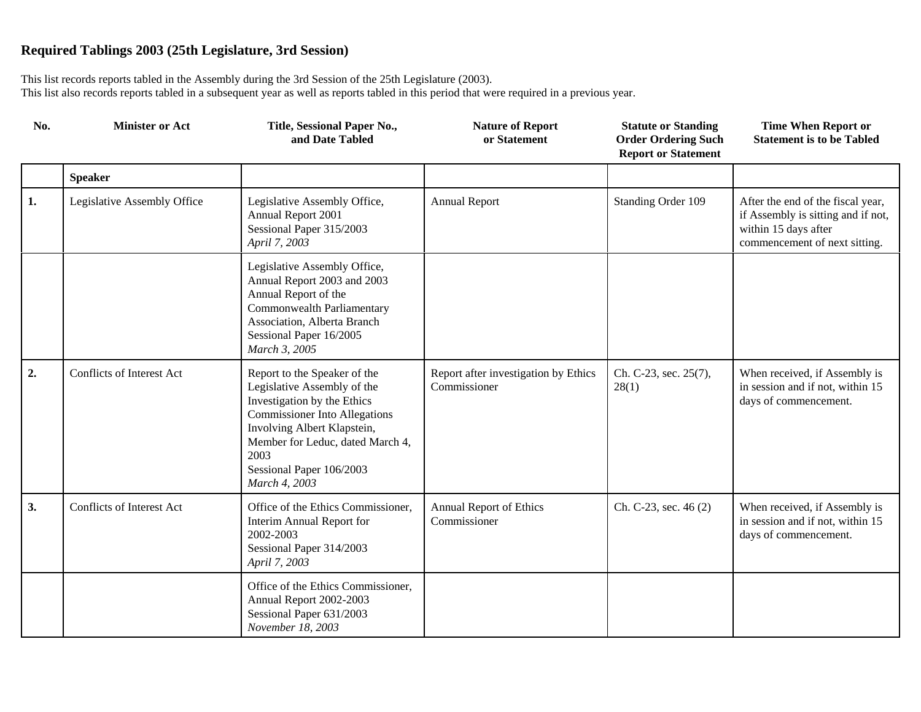| No. | <b>Minister or Act</b>      | Title, Sessional Paper No.,<br>and Date Tabled                                                                                                                                                                                                             | <b>Nature of Report</b><br>or Statement              | <b>Statute or Standing</b><br><b>Order Ordering Such</b><br><b>Report or Statement</b> | <b>Time When Report or</b><br><b>Statement is to be Tabled</b>                                                                   |
|-----|-----------------------------|------------------------------------------------------------------------------------------------------------------------------------------------------------------------------------------------------------------------------------------------------------|------------------------------------------------------|----------------------------------------------------------------------------------------|----------------------------------------------------------------------------------------------------------------------------------|
|     | <b>Speaker</b>              |                                                                                                                                                                                                                                                            |                                                      |                                                                                        |                                                                                                                                  |
| 1.  | Legislative Assembly Office | Legislative Assembly Office,<br>Annual Report 2001<br>Sessional Paper 315/2003<br>April 7, 2003                                                                                                                                                            | <b>Annual Report</b>                                 | Standing Order 109                                                                     | After the end of the fiscal year,<br>if Assembly is sitting and if not,<br>within 15 days after<br>commencement of next sitting. |
|     |                             | Legislative Assembly Office,<br>Annual Report 2003 and 2003<br>Annual Report of the<br>Commonwealth Parliamentary<br>Association, Alberta Branch<br>Sessional Paper 16/2005<br>March 3, 2005                                                               |                                                      |                                                                                        |                                                                                                                                  |
| 2.  | Conflicts of Interest Act   | Report to the Speaker of the<br>Legislative Assembly of the<br>Investigation by the Ethics<br><b>Commissioner Into Allegations</b><br>Involving Albert Klapstein,<br>Member for Leduc, dated March 4,<br>2003<br>Sessional Paper 106/2003<br>March 4, 2003 | Report after investigation by Ethics<br>Commissioner | Ch. C-23, sec. 25(7),<br>28(1)                                                         | When received, if Assembly is<br>in session and if not, within 15<br>days of commencement.                                       |
| 3.  | Conflicts of Interest Act   | Office of the Ethics Commissioner,<br>Interim Annual Report for<br>2002-2003<br>Sessional Paper 314/2003<br>April 7, 2003                                                                                                                                  | <b>Annual Report of Ethics</b><br>Commissioner       | Ch. C-23, sec. 46 (2)                                                                  | When received, if Assembly is<br>in session and if not, within 15<br>days of commencement.                                       |
|     |                             | Office of the Ethics Commissioner,<br>Annual Report 2002-2003<br>Sessional Paper 631/2003<br>November 18, 2003                                                                                                                                             |                                                      |                                                                                        |                                                                                                                                  |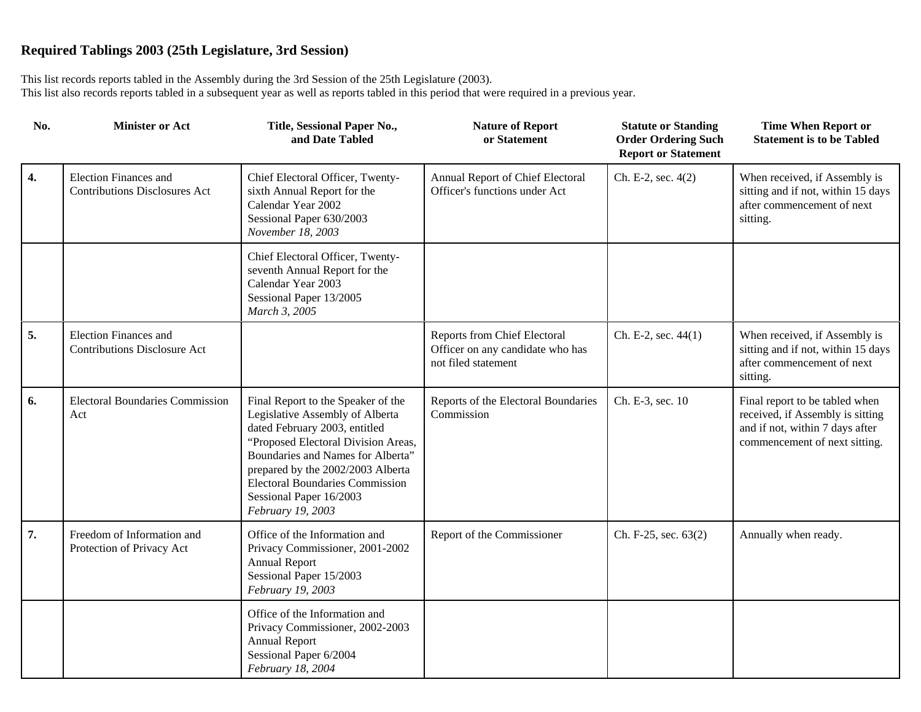| No. | <b>Minister or Act</b>                                               | Title, Sessional Paper No.,<br>and Date Tabled                                                                                                                                                                                                                                                                    | <b>Nature of Report</b><br>or Statement                                                 | <b>Statute or Standing</b><br><b>Order Ordering Such</b><br><b>Report or Statement</b> | <b>Time When Report or</b><br><b>Statement is to be Tabled</b>                                                                         |
|-----|----------------------------------------------------------------------|-------------------------------------------------------------------------------------------------------------------------------------------------------------------------------------------------------------------------------------------------------------------------------------------------------------------|-----------------------------------------------------------------------------------------|----------------------------------------------------------------------------------------|----------------------------------------------------------------------------------------------------------------------------------------|
| 4.  | <b>Election Finances and</b><br><b>Contributions Disclosures Act</b> | Chief Electoral Officer, Twenty-<br>sixth Annual Report for the<br>Calendar Year 2002<br>Sessional Paper 630/2003<br>November 18, 2003                                                                                                                                                                            | Annual Report of Chief Electoral<br>Officer's functions under Act                       | Ch. E-2, sec. 4(2)                                                                     | When received, if Assembly is<br>sitting and if not, within 15 days<br>after commencement of next<br>sitting.                          |
|     |                                                                      | Chief Electoral Officer, Twenty-<br>seventh Annual Report for the<br>Calendar Year 2003<br>Sessional Paper 13/2005<br>March 3, 2005                                                                                                                                                                               |                                                                                         |                                                                                        |                                                                                                                                        |
| 5.  | <b>Election Finances and</b><br><b>Contributions Disclosure Act</b>  |                                                                                                                                                                                                                                                                                                                   | Reports from Chief Electoral<br>Officer on any candidate who has<br>not filed statement | Ch. E-2, sec. 44(1)                                                                    | When received, if Assembly is<br>sitting and if not, within 15 days<br>after commencement of next<br>sitting.                          |
| 6.  | <b>Electoral Boundaries Commission</b><br>Act                        | Final Report to the Speaker of the<br>Legislative Assembly of Alberta<br>dated February 2003, entitled<br>"Proposed Electoral Division Areas,<br>Boundaries and Names for Alberta"<br>prepared by the 2002/2003 Alberta<br><b>Electoral Boundaries Commission</b><br>Sessional Paper 16/2003<br>February 19, 2003 | Reports of the Electoral Boundaries<br>Commission                                       | Ch. E-3, sec. 10                                                                       | Final report to be tabled when<br>received, if Assembly is sitting<br>and if not, within 7 days after<br>commencement of next sitting. |
| 7.  | Freedom of Information and<br>Protection of Privacy Act              | Office of the Information and<br>Privacy Commissioner, 2001-2002<br><b>Annual Report</b><br>Sessional Paper 15/2003<br>February 19, 2003                                                                                                                                                                          | Report of the Commissioner                                                              | Ch. F-25, sec. 63(2)                                                                   | Annually when ready.                                                                                                                   |
|     |                                                                      | Office of the Information and<br>Privacy Commissioner, 2002-2003<br><b>Annual Report</b><br>Sessional Paper 6/2004<br>February 18, 2004                                                                                                                                                                           |                                                                                         |                                                                                        |                                                                                                                                        |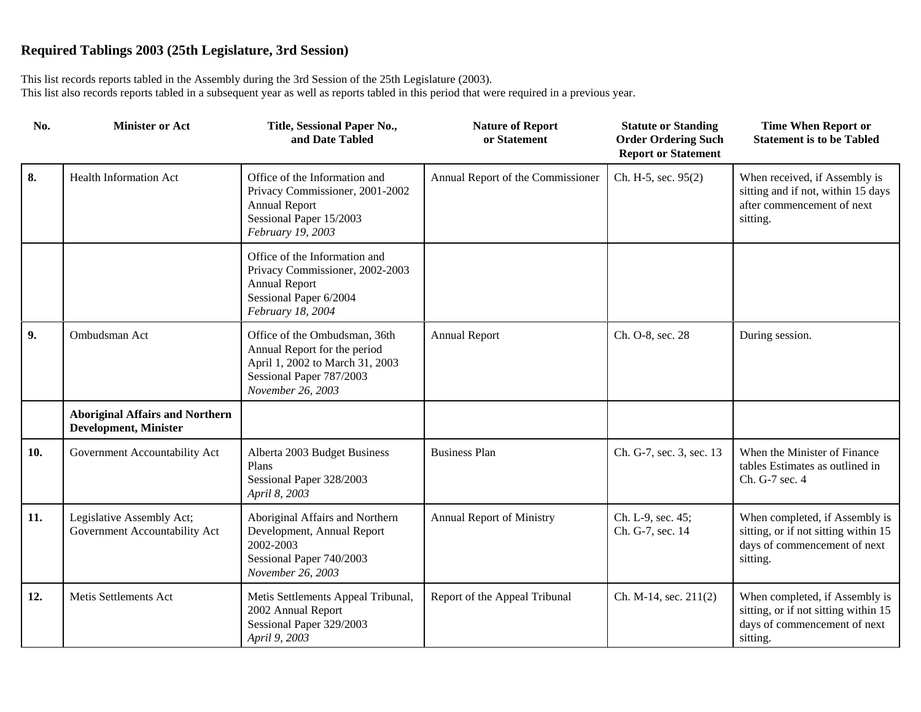| No. | <b>Minister or Act</b>                                                 | Title, Sessional Paper No.,<br>and Date Tabled                                                                                                    | <b>Nature of Report</b><br>or Statement | <b>Statute or Standing</b><br><b>Order Ordering Such</b><br><b>Report or Statement</b> | <b>Time When Report or</b><br><b>Statement is to be Tabled</b>                                                     |
|-----|------------------------------------------------------------------------|---------------------------------------------------------------------------------------------------------------------------------------------------|-----------------------------------------|----------------------------------------------------------------------------------------|--------------------------------------------------------------------------------------------------------------------|
| 8.  | <b>Health Information Act</b>                                          | Office of the Information and<br>Privacy Commissioner, 2001-2002<br><b>Annual Report</b><br>Sessional Paper 15/2003<br>February 19, 2003          | Annual Report of the Commissioner       | Ch. H-5, sec. 95(2)                                                                    | When received, if Assembly is<br>sitting and if not, within 15 days<br>after commencement of next<br>sitting.      |
|     |                                                                        | Office of the Information and<br>Privacy Commissioner, 2002-2003<br><b>Annual Report</b><br>Sessional Paper 6/2004<br>February 18, 2004           |                                         |                                                                                        |                                                                                                                    |
| 9.  | Ombudsman Act                                                          | Office of the Ombudsman, 36th<br>Annual Report for the period<br>April 1, 2002 to March 31, 2003<br>Sessional Paper 787/2003<br>November 26, 2003 | <b>Annual Report</b>                    | Ch. O-8, sec. 28                                                                       | During session.                                                                                                    |
|     | <b>Aboriginal Affairs and Northern</b><br><b>Development, Minister</b> |                                                                                                                                                   |                                         |                                                                                        |                                                                                                                    |
| 10. | Government Accountability Act                                          | Alberta 2003 Budget Business<br>Plans<br>Sessional Paper 328/2003<br>April 8, 2003                                                                | <b>Business Plan</b>                    | Ch. G-7, sec. 3, sec. 13                                                               | When the Minister of Finance<br>tables Estimates as outlined in<br>Ch. G-7 sec. 4                                  |
| 11. | Legislative Assembly Act;<br>Government Accountability Act             | Aboriginal Affairs and Northern<br>Development, Annual Report<br>2002-2003<br>Sessional Paper 740/2003<br>November 26, 2003                       | <b>Annual Report of Ministry</b>        | Ch. L-9, sec. 45;<br>Ch. G-7, sec. 14                                                  | When completed, if Assembly is<br>sitting, or if not sitting within 15<br>days of commencement of next<br>sitting. |
| 12. | Metis Settlements Act                                                  | Metis Settlements Appeal Tribunal,<br>2002 Annual Report<br>Sessional Paper 329/2003<br>April 9, 2003                                             | Report of the Appeal Tribunal           | Ch. M-14, sec. 211(2)                                                                  | When completed, if Assembly is<br>sitting, or if not sitting within 15<br>days of commencement of next<br>sitting. |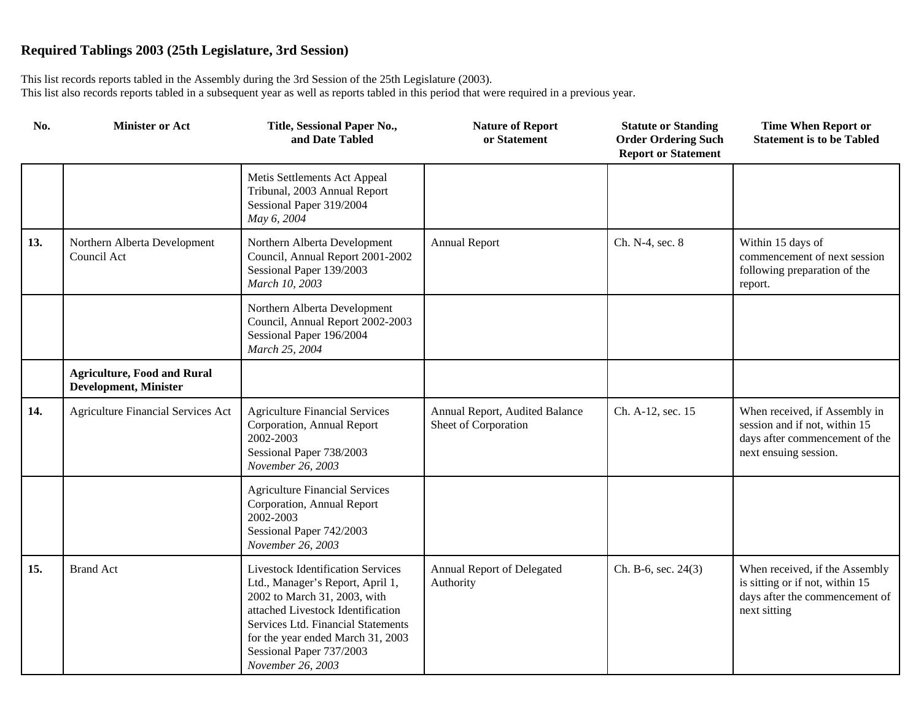| No. | <b>Minister or Act</b>                                             | Title, Sessional Paper No.,<br>and Date Tabled                                                                                                                                                                                                                                | <b>Nature of Report</b><br>or Statement                | <b>Statute or Standing</b><br><b>Order Ordering Such</b><br><b>Report or Statement</b> | <b>Time When Report or</b><br><b>Statement is to be Tabled</b>                                                            |
|-----|--------------------------------------------------------------------|-------------------------------------------------------------------------------------------------------------------------------------------------------------------------------------------------------------------------------------------------------------------------------|--------------------------------------------------------|----------------------------------------------------------------------------------------|---------------------------------------------------------------------------------------------------------------------------|
|     |                                                                    | Metis Settlements Act Appeal<br>Tribunal, 2003 Annual Report<br>Sessional Paper 319/2004<br>May 6, 2004                                                                                                                                                                       |                                                        |                                                                                        |                                                                                                                           |
| 13. | Northern Alberta Development<br>Council Act                        | Northern Alberta Development<br>Council, Annual Report 2001-2002<br>Sessional Paper 139/2003<br>March 10, 2003                                                                                                                                                                | <b>Annual Report</b>                                   | Ch. N-4, sec. 8                                                                        | Within 15 days of<br>commencement of next session<br>following preparation of the<br>report.                              |
|     |                                                                    | Northern Alberta Development<br>Council, Annual Report 2002-2003<br>Sessional Paper 196/2004<br>March 25, 2004                                                                                                                                                                |                                                        |                                                                                        |                                                                                                                           |
|     | <b>Agriculture, Food and Rural</b><br><b>Development, Minister</b> |                                                                                                                                                                                                                                                                               |                                                        |                                                                                        |                                                                                                                           |
| 14. | <b>Agriculture Financial Services Act</b>                          | <b>Agriculture Financial Services</b><br>Corporation, Annual Report<br>2002-2003<br>Sessional Paper 738/2003<br>November 26, 2003                                                                                                                                             | Annual Report, Audited Balance<br>Sheet of Corporation | Ch. A-12, sec. 15                                                                      | When received, if Assembly in<br>session and if not, within 15<br>days after commencement of the<br>next ensuing session. |
|     |                                                                    | <b>Agriculture Financial Services</b><br>Corporation, Annual Report<br>2002-2003<br>Sessional Paper 742/2003<br>November 26, 2003                                                                                                                                             |                                                        |                                                                                        |                                                                                                                           |
| 15. | <b>Brand Act</b>                                                   | <b>Livestock Identification Services</b><br>Ltd., Manager's Report, April 1,<br>2002 to March 31, 2003, with<br>attached Livestock Identification<br>Services Ltd. Financial Statements<br>for the year ended March 31, 2003<br>Sessional Paper 737/2003<br>November 26, 2003 | Annual Report of Delegated<br>Authority                | $Ch. B-6$ , sec. 24 $(3)$                                                              | When received, if the Assembly<br>is sitting or if not, within 15<br>days after the commencement of<br>next sitting       |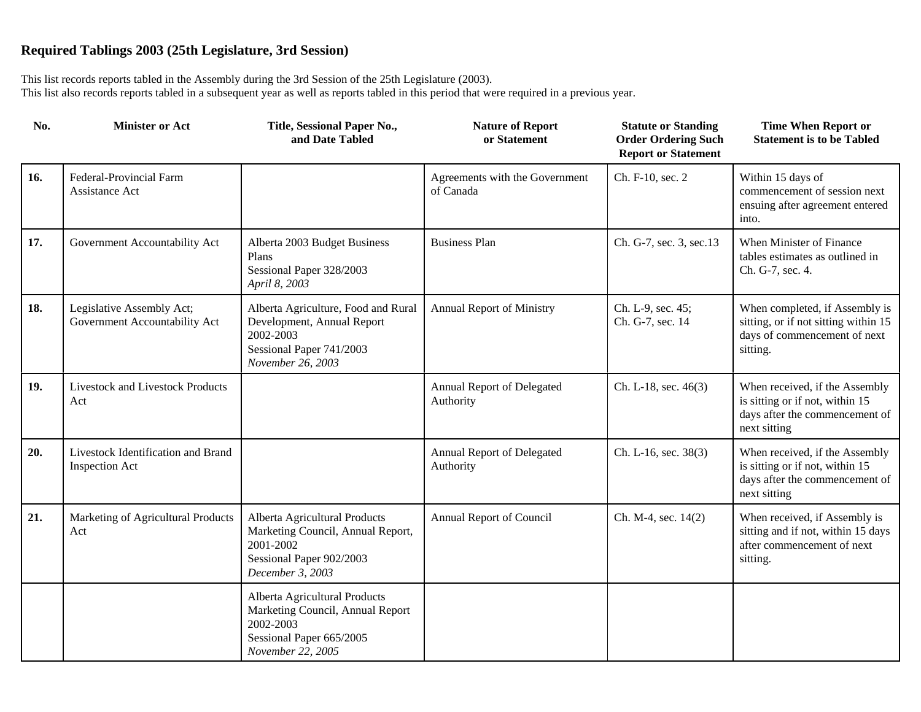| No. | <b>Minister or Act</b>                                      | Title, Sessional Paper No.,<br>and Date Tabled                                                                                  | <b>Nature of Report</b><br>or Statement     | <b>Statute or Standing</b><br><b>Order Ordering Such</b><br><b>Report or Statement</b> | <b>Time When Report or</b><br><b>Statement is to be Tabled</b>                                                      |
|-----|-------------------------------------------------------------|---------------------------------------------------------------------------------------------------------------------------------|---------------------------------------------|----------------------------------------------------------------------------------------|---------------------------------------------------------------------------------------------------------------------|
| 16. | Federal-Provincial Farm<br>Assistance Act                   |                                                                                                                                 | Agreements with the Government<br>of Canada | Ch. F-10, sec. 2                                                                       | Within 15 days of<br>commencement of session next<br>ensuing after agreement entered<br>into.                       |
| 17. | Government Accountability Act                               | Alberta 2003 Budget Business<br>Plans<br>Sessional Paper 328/2003<br>April 8, 2003                                              | <b>Business Plan</b>                        | Ch. G-7, sec. 3, sec. 13                                                               | When Minister of Finance<br>tables estimates as outlined in<br>Ch. G-7, sec. 4.                                     |
| 18. | Legislative Assembly Act;<br>Government Accountability Act  | Alberta Agriculture, Food and Rural<br>Development, Annual Report<br>2002-2003<br>Sessional Paper 741/2003<br>November 26, 2003 | Annual Report of Ministry                   | Ch. L-9, sec. 45;<br>Ch. G-7, sec. 14                                                  | When completed, if Assembly is<br>sitting, or if not sitting within 15<br>days of commencement of next<br>sitting.  |
| 19. | Livestock and Livestock Products<br>Act                     |                                                                                                                                 | Annual Report of Delegated<br>Authority     | Ch. L-18, sec. 46(3)                                                                   | When received, if the Assembly<br>is sitting or if not, within 15<br>days after the commencement of<br>next sitting |
| 20. | Livestock Identification and Brand<br><b>Inspection Act</b> |                                                                                                                                 | Annual Report of Delegated<br>Authority     | Ch. L-16, sec. 38(3)                                                                   | When received, if the Assembly<br>is sitting or if not, within 15<br>days after the commencement of<br>next sitting |
| 21. | Marketing of Agricultural Products<br>Act                   | Alberta Agricultural Products<br>Marketing Council, Annual Report,<br>2001-2002<br>Sessional Paper 902/2003<br>December 3, 2003 | Annual Report of Council                    | Ch. M-4, sec. 14(2)                                                                    | When received, if Assembly is<br>sitting and if not, within 15 days<br>after commencement of next<br>sitting.       |
|     |                                                             | Alberta Agricultural Products<br>Marketing Council, Annual Report<br>2002-2003<br>Sessional Paper 665/2005<br>November 22, 2005 |                                             |                                                                                        |                                                                                                                     |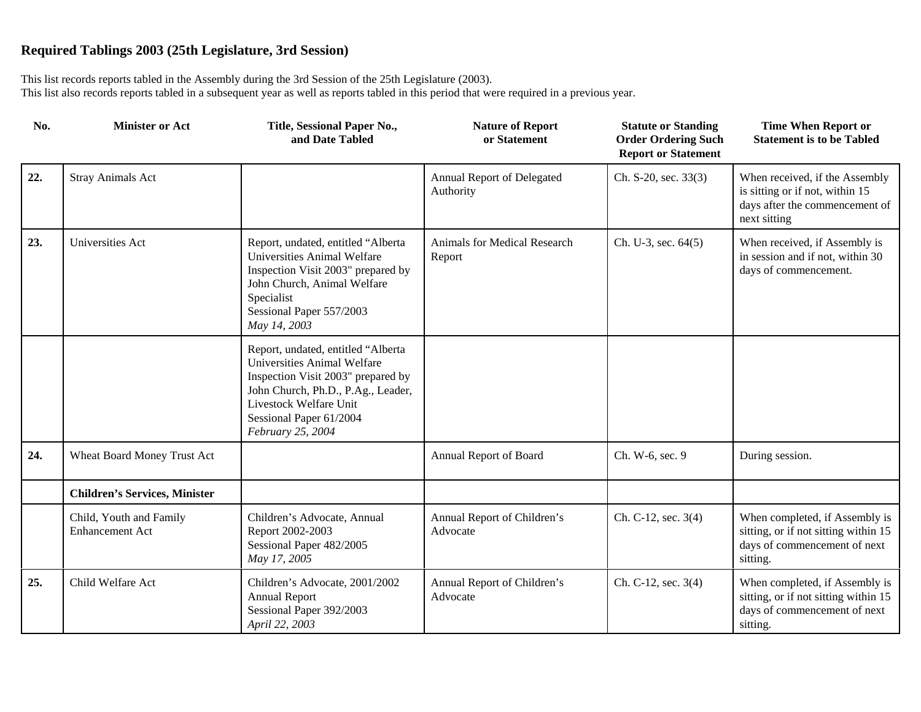| No. | <b>Minister or Act</b>                            | Title, Sessional Paper No.,<br>and Date Tabled                                                                                                                                                                          | <b>Nature of Report</b><br>or Statement | <b>Statute or Standing</b><br><b>Order Ordering Such</b><br><b>Report or Statement</b> | <b>Time When Report or</b><br><b>Statement is to be Tabled</b>                                                      |
|-----|---------------------------------------------------|-------------------------------------------------------------------------------------------------------------------------------------------------------------------------------------------------------------------------|-----------------------------------------|----------------------------------------------------------------------------------------|---------------------------------------------------------------------------------------------------------------------|
| 22. | <b>Stray Animals Act</b>                          |                                                                                                                                                                                                                         | Annual Report of Delegated<br>Authority | Ch. S-20, sec. 33(3)                                                                   | When received, if the Assembly<br>is sitting or if not, within 15<br>days after the commencement of<br>next sitting |
| 23. | Universities Act                                  | Report, undated, entitled "Alberta<br>Universities Animal Welfare<br>Inspection Visit 2003" prepared by<br>John Church, Animal Welfare<br>Specialist<br>Sessional Paper 557/2003<br>May 14, 2003                        | Animals for Medical Research<br>Report  | Ch. U-3, sec. $64(5)$                                                                  | When received, if Assembly is<br>in session and if not, within 30<br>days of commencement.                          |
|     |                                                   | Report, undated, entitled "Alberta<br>Universities Animal Welfare<br>Inspection Visit 2003" prepared by<br>John Church, Ph.D., P.Ag., Leader,<br>Livestock Welfare Unit<br>Sessional Paper 61/2004<br>February 25, 2004 |                                         |                                                                                        |                                                                                                                     |
| 24. | Wheat Board Money Trust Act                       |                                                                                                                                                                                                                         | Annual Report of Board                  | Ch. W-6, sec. 9                                                                        | During session.                                                                                                     |
|     | <b>Children's Services, Minister</b>              |                                                                                                                                                                                                                         |                                         |                                                                                        |                                                                                                                     |
|     | Child, Youth and Family<br><b>Enhancement Act</b> | Children's Advocate, Annual<br>Report 2002-2003<br>Sessional Paper 482/2005<br>May 17, 2005                                                                                                                             | Annual Report of Children's<br>Advocate | Ch. C-12, sec. 3(4)                                                                    | When completed, if Assembly is<br>sitting, or if not sitting within 15<br>days of commencement of next<br>sitting.  |
| 25. | Child Welfare Act                                 | Children's Advocate, 2001/2002<br><b>Annual Report</b><br>Sessional Paper 392/2003<br>April 22, 2003                                                                                                                    | Annual Report of Children's<br>Advocate | Ch. C-12, sec. 3(4)                                                                    | When completed, if Assembly is<br>sitting, or if not sitting within 15<br>days of commencement of next<br>sitting.  |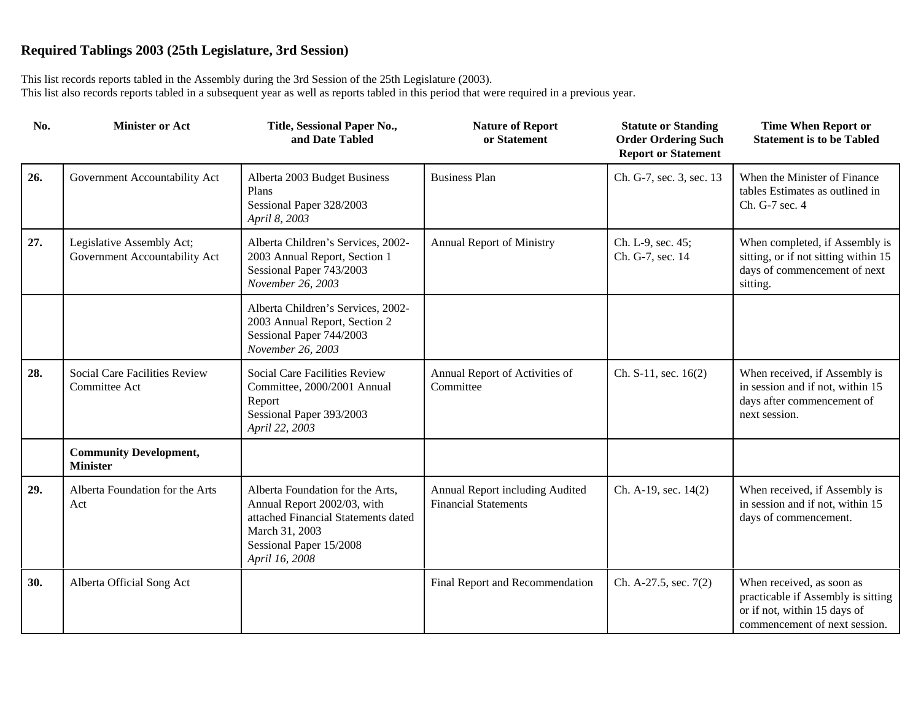| No. | <b>Minister or Act</b>                                     | Title, Sessional Paper No.,<br>and Date Tabled                                                                                                                        | <b>Nature of Report</b><br>or Statement                        | <b>Statute or Standing</b><br><b>Order Ordering Such</b><br><b>Report or Statement</b> | <b>Time When Report or</b><br><b>Statement is to be Tabled</b>                                                                   |
|-----|------------------------------------------------------------|-----------------------------------------------------------------------------------------------------------------------------------------------------------------------|----------------------------------------------------------------|----------------------------------------------------------------------------------------|----------------------------------------------------------------------------------------------------------------------------------|
| 26. | Government Accountability Act                              | Alberta 2003 Budget Business<br>Plans<br>Sessional Paper 328/2003<br>April 8, 2003                                                                                    | <b>Business Plan</b>                                           | Ch. G-7, sec. 3, sec. 13                                                               | When the Minister of Finance<br>tables Estimates as outlined in<br>Ch. G-7 sec. 4                                                |
| 27. | Legislative Assembly Act;<br>Government Accountability Act | Alberta Children's Services, 2002-<br>2003 Annual Report, Section 1<br>Sessional Paper 743/2003<br>November 26, 2003                                                  | Annual Report of Ministry                                      | Ch. L-9, sec. 45;<br>Ch. G-7, sec. 14                                                  | When completed, if Assembly is<br>sitting, or if not sitting within 15<br>days of commencement of next<br>sitting.               |
|     |                                                            | Alberta Children's Services, 2002-<br>2003 Annual Report, Section 2<br>Sessional Paper 744/2003<br>November 26, 2003                                                  |                                                                |                                                                                        |                                                                                                                                  |
| 28. | Social Care Facilities Review<br>Committee Act             | Social Care Facilities Review<br>Committee, 2000/2001 Annual<br>Report<br>Sessional Paper 393/2003<br>April 22, 2003                                                  | Annual Report of Activities of<br>Committee                    | Ch. S-11, sec. 16(2)                                                                   | When received, if Assembly is<br>in session and if not, within 15<br>days after commencement of<br>next session.                 |
|     | <b>Community Development,</b><br><b>Minister</b>           |                                                                                                                                                                       |                                                                |                                                                                        |                                                                                                                                  |
| 29. | Alberta Foundation for the Arts<br>Act                     | Alberta Foundation for the Arts,<br>Annual Report 2002/03, with<br>attached Financial Statements dated<br>March 31, 2003<br>Sessional Paper 15/2008<br>April 16, 2008 | Annual Report including Audited<br><b>Financial Statements</b> | Ch. A-19, sec. 14(2)                                                                   | When received, if Assembly is<br>in session and if not, within 15<br>days of commencement.                                       |
| 30. | Alberta Official Song Act                                  |                                                                                                                                                                       | Final Report and Recommendation                                | Ch. A-27.5, sec. 7(2)                                                                  | When received, as soon as<br>practicable if Assembly is sitting<br>or if not, within 15 days of<br>commencement of next session. |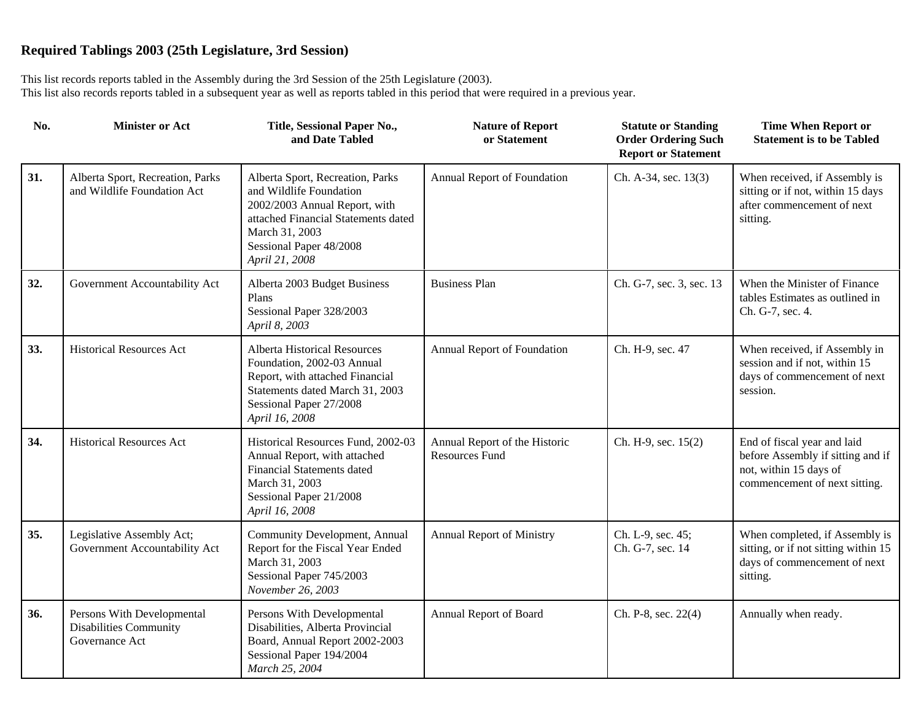| No. | <b>Minister or Act</b>                                                 | Title, Sessional Paper No.,<br>and Date Tabled                                                                                                                                                     | <b>Nature of Report</b><br>or Statement                | <b>Statute or Standing</b><br><b>Order Ordering Such</b><br><b>Report or Statement</b> | <b>Time When Report or</b><br><b>Statement is to be Tabled</b>                                                              |
|-----|------------------------------------------------------------------------|----------------------------------------------------------------------------------------------------------------------------------------------------------------------------------------------------|--------------------------------------------------------|----------------------------------------------------------------------------------------|-----------------------------------------------------------------------------------------------------------------------------|
| 31. | Alberta Sport, Recreation, Parks<br>and Wildlife Foundation Act        | Alberta Sport, Recreation, Parks<br>and Wildlife Foundation<br>2002/2003 Annual Report, with<br>attached Financial Statements dated<br>March 31, 2003<br>Sessional Paper 48/2008<br>April 21, 2008 | Annual Report of Foundation                            | Ch. A-34, sec. 13(3)                                                                   | When received, if Assembly is<br>sitting or if not, within 15 days<br>after commencement of next<br>sitting.                |
| 32. | Government Accountability Act                                          | Alberta 2003 Budget Business<br>Plans<br>Sessional Paper 328/2003<br>April 8, 2003                                                                                                                 | <b>Business Plan</b>                                   | Ch. G-7, sec. 3, sec. 13                                                               | When the Minister of Finance<br>tables Estimates as outlined in<br>Ch. G-7, sec. 4.                                         |
| 33. | <b>Historical Resources Act</b>                                        | <b>Alberta Historical Resources</b><br>Foundation, 2002-03 Annual<br>Report, with attached Financial<br>Statements dated March 31, 2003<br>Sessional Paper 27/2008<br>April 16, 2008               | Annual Report of Foundation                            | Ch. H-9, sec. 47                                                                       | When received, if Assembly in<br>session and if not, within 15<br>days of commencement of next<br>session.                  |
| 34. | <b>Historical Resources Act</b>                                        | Historical Resources Fund, 2002-03<br>Annual Report, with attached<br><b>Financial Statements dated</b><br>March 31, 2003<br>Sessional Paper 21/2008<br>April 16, 2008                             | Annual Report of the Historic<br><b>Resources Fund</b> | Ch. H-9, sec. 15(2)                                                                    | End of fiscal year and laid<br>before Assembly if sitting and if<br>not, within 15 days of<br>commencement of next sitting. |
| 35. | Legislative Assembly Act;<br>Government Accountability Act             | Community Development, Annual<br>Report for the Fiscal Year Ended<br>March 31, 2003<br>Sessional Paper 745/2003<br>November 26, 2003                                                               | Annual Report of Ministry                              | Ch. L-9, sec. 45;<br>Ch. G-7, sec. 14                                                  | When completed, if Assembly is<br>sitting, or if not sitting within 15<br>days of commencement of next<br>sitting.          |
| 36. | Persons With Developmental<br>Disabilities Community<br>Governance Act | Persons With Developmental<br>Disabilities, Alberta Provincial<br>Board, Annual Report 2002-2003<br>Sessional Paper 194/2004<br>March 25, 2004                                                     | Annual Report of Board                                 | Ch. P-8, sec. 22(4)                                                                    | Annually when ready.                                                                                                        |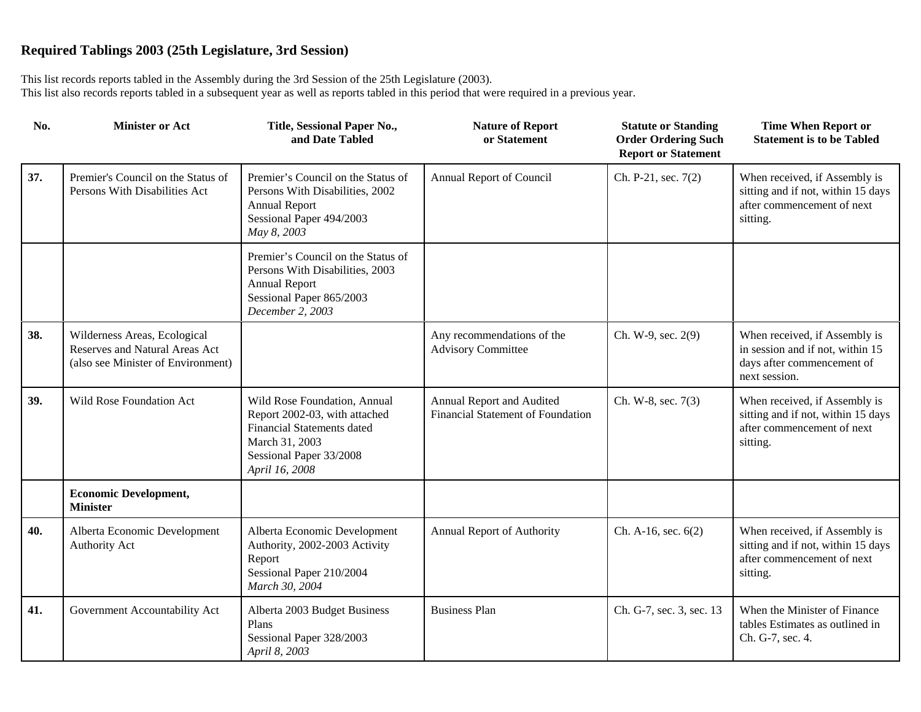| No. | <b>Minister or Act</b>                                                                               | Title, Sessional Paper No.,<br>and Date Tabled                                                                                                                    | <b>Nature of Report</b><br>or Statement                        | <b>Statute or Standing</b><br><b>Order Ordering Such</b><br><b>Report or Statement</b> | <b>Time When Report or</b><br><b>Statement is to be Tabled</b>                                                   |
|-----|------------------------------------------------------------------------------------------------------|-------------------------------------------------------------------------------------------------------------------------------------------------------------------|----------------------------------------------------------------|----------------------------------------------------------------------------------------|------------------------------------------------------------------------------------------------------------------|
| 37. | Premier's Council on the Status of<br>Persons With Disabilities Act                                  | Premier's Council on the Status of<br>Persons With Disabilities, 2002<br><b>Annual Report</b><br>Sessional Paper 494/2003<br>May 8, 2003                          | Annual Report of Council                                       | Ch. P-21, sec. 7(2)                                                                    | When received, if Assembly is<br>sitting and if not, within 15 days<br>after commencement of next<br>sitting.    |
|     |                                                                                                      | Premier's Council on the Status of<br>Persons With Disabilities, 2003<br><b>Annual Report</b><br>Sessional Paper 865/2003<br>December 2, 2003                     |                                                                |                                                                                        |                                                                                                                  |
| 38. | Wilderness Areas, Ecological<br>Reserves and Natural Areas Act<br>(also see Minister of Environment) |                                                                                                                                                                   | Any recommendations of the<br><b>Advisory Committee</b>        | Ch. W-9, sec. 2(9)                                                                     | When received, if Assembly is<br>in session and if not, within 15<br>days after commencement of<br>next session. |
| 39. | Wild Rose Foundation Act                                                                             | Wild Rose Foundation, Annual<br>Report 2002-03, with attached<br><b>Financial Statements dated</b><br>March 31, 2003<br>Sessional Paper 33/2008<br>April 16, 2008 | Annual Report and Audited<br>Financial Statement of Foundation | Ch. W-8, sec. 7(3)                                                                     | When received, if Assembly is<br>sitting and if not, within 15 days<br>after commencement of next<br>sitting.    |
|     | <b>Economic Development,</b><br><b>Minister</b>                                                      |                                                                                                                                                                   |                                                                |                                                                                        |                                                                                                                  |
| 40. | Alberta Economic Development<br>Authority Act                                                        | Alberta Economic Development<br>Authority, 2002-2003 Activity<br>Report<br>Sessional Paper 210/2004<br>March 30, 2004                                             | Annual Report of Authority                                     | Ch. A-16, sec. $6(2)$                                                                  | When received, if Assembly is<br>sitting and if not, within 15 days<br>after commencement of next<br>sitting.    |
| 41. | Government Accountability Act                                                                        | Alberta 2003 Budget Business<br>Plans<br>Sessional Paper 328/2003<br>April 8, 2003                                                                                | <b>Business Plan</b>                                           | Ch. G-7, sec. 3, sec. 13                                                               | When the Minister of Finance<br>tables Estimates as outlined in<br>Ch. G-7, sec. 4.                              |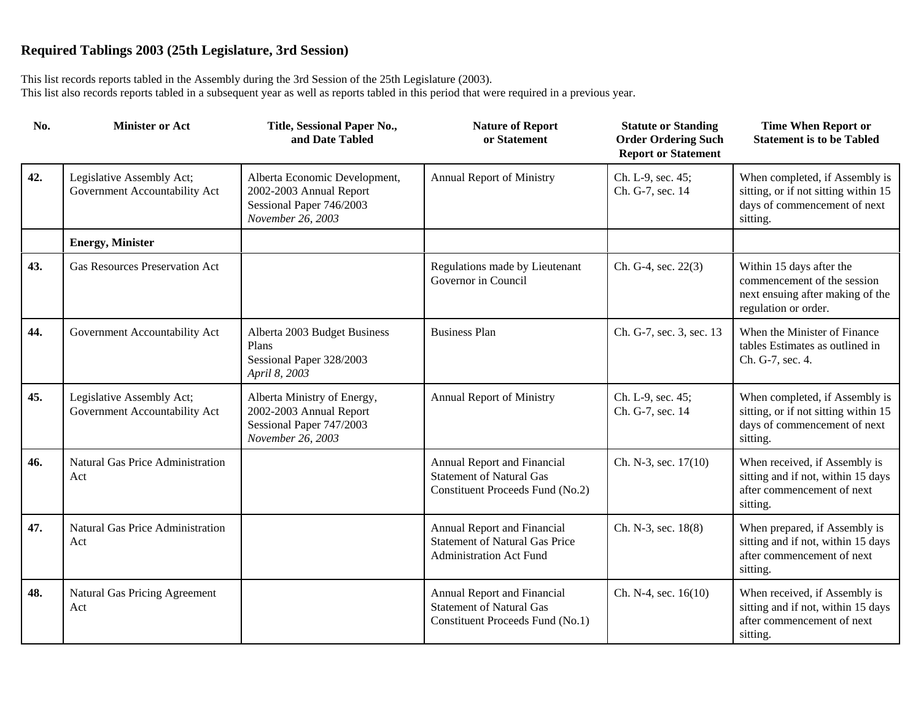| No. | <b>Minister or Act</b>                                     | Title, Sessional Paper No.,<br>and Date Tabled                                                            | <b>Nature of Report</b><br>or Statement                                                                | <b>Statute or Standing</b><br><b>Order Ordering Such</b><br><b>Report or Statement</b> | <b>Time When Report or</b><br><b>Statement is to be Tabled</b>                                                      |
|-----|------------------------------------------------------------|-----------------------------------------------------------------------------------------------------------|--------------------------------------------------------------------------------------------------------|----------------------------------------------------------------------------------------|---------------------------------------------------------------------------------------------------------------------|
| 42. | Legislative Assembly Act;<br>Government Accountability Act | Alberta Economic Development,<br>2002-2003 Annual Report<br>Sessional Paper 746/2003<br>November 26, 2003 | Annual Report of Ministry                                                                              | Ch. L-9, sec. 45;<br>Ch. G-7, sec. 14                                                  | When completed, if Assembly is<br>sitting, or if not sitting within 15<br>days of commencement of next<br>sitting.  |
|     | <b>Energy, Minister</b>                                    |                                                                                                           |                                                                                                        |                                                                                        |                                                                                                                     |
| 43. | <b>Gas Resources Preservation Act</b>                      |                                                                                                           | Regulations made by Lieutenant<br>Governor in Council                                                  | Ch. G-4, sec. 22(3)                                                                    | Within 15 days after the<br>commencement of the session<br>next ensuing after making of the<br>regulation or order. |
| 44. | Government Accountability Act                              | Alberta 2003 Budget Business<br>Plans<br>Sessional Paper 328/2003<br>April 8, 2003                        | <b>Business Plan</b>                                                                                   | Ch. G-7, sec. 3, sec. 13                                                               | When the Minister of Finance<br>tables Estimates as outlined in<br>Ch. G-7, sec. 4.                                 |
| 45. | Legislative Assembly Act;<br>Government Accountability Act | Alberta Ministry of Energy,<br>2002-2003 Annual Report<br>Sessional Paper 747/2003<br>November 26, 2003   | Annual Report of Ministry                                                                              | Ch. L-9, sec. 45;<br>Ch. G-7, sec. 14                                                  | When completed, if Assembly is<br>sitting, or if not sitting within 15<br>days of commencement of next<br>sitting.  |
| 46. | Natural Gas Price Administration<br>Act                    |                                                                                                           | Annual Report and Financial<br><b>Statement of Natural Gas</b><br>Constituent Proceeds Fund (No.2)     | Ch. N-3, sec. 17(10)                                                                   | When received, if Assembly is<br>sitting and if not, within 15 days<br>after commencement of next<br>sitting.       |
| 47. | Natural Gas Price Administration<br>Act                    |                                                                                                           | Annual Report and Financial<br><b>Statement of Natural Gas Price</b><br><b>Administration Act Fund</b> | Ch. N-3, sec. 18(8)                                                                    | When prepared, if Assembly is<br>sitting and if not, within 15 days<br>after commencement of next<br>sitting.       |
| 48. | Natural Gas Pricing Agreement<br>Act                       |                                                                                                           | Annual Report and Financial<br><b>Statement of Natural Gas</b><br>Constituent Proceeds Fund (No.1)     | Ch. N-4, sec. 16(10)                                                                   | When received, if Assembly is<br>sitting and if not, within 15 days<br>after commencement of next<br>sitting.       |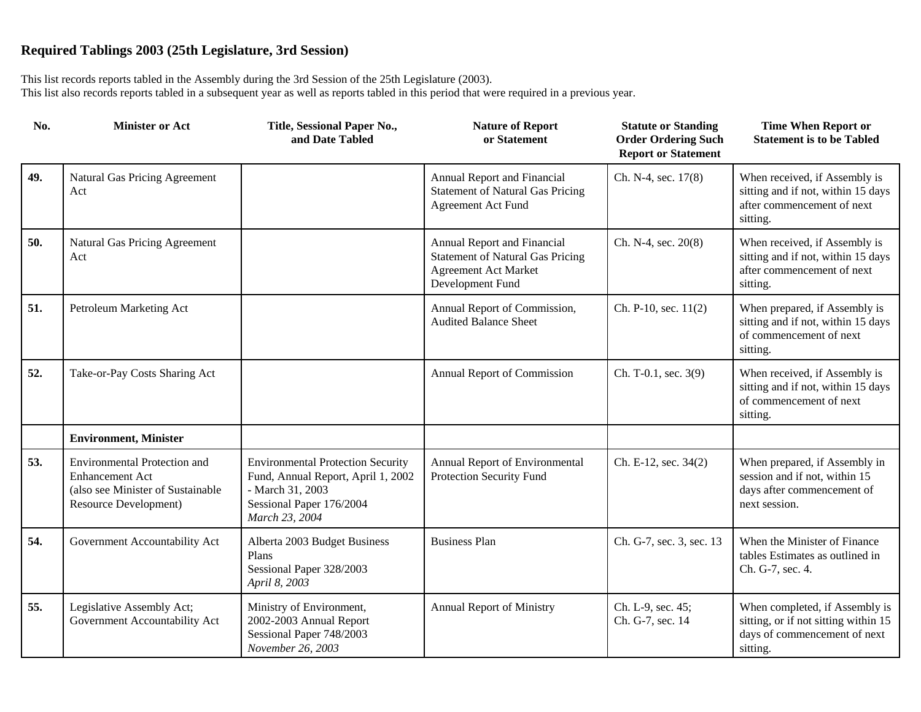| No. | <b>Minister or Act</b>                                                                                                      | Title, Sessional Paper No.,<br>and Date Tabled                                                                                                   | <b>Nature of Report</b><br>or Statement                                                                                   | <b>Statute or Standing</b><br><b>Order Ordering Such</b><br><b>Report or Statement</b> | <b>Time When Report or</b><br><b>Statement is to be Tabled</b>                                                     |
|-----|-----------------------------------------------------------------------------------------------------------------------------|--------------------------------------------------------------------------------------------------------------------------------------------------|---------------------------------------------------------------------------------------------------------------------------|----------------------------------------------------------------------------------------|--------------------------------------------------------------------------------------------------------------------|
| 49. | Natural Gas Pricing Agreement<br>Act                                                                                        |                                                                                                                                                  | Annual Report and Financial<br><b>Statement of Natural Gas Pricing</b><br><b>Agreement Act Fund</b>                       | Ch. N-4, sec. 17(8)                                                                    | When received, if Assembly is<br>sitting and if not, within 15 days<br>after commencement of next<br>sitting.      |
| 50. | Natural Gas Pricing Agreement<br>Act                                                                                        |                                                                                                                                                  | Annual Report and Financial<br><b>Statement of Natural Gas Pricing</b><br><b>Agreement Act Market</b><br>Development Fund | Ch. N-4, sec. 20(8)                                                                    | When received, if Assembly is<br>sitting and if not, within 15 days<br>after commencement of next<br>sitting.      |
| 51. | Petroleum Marketing Act                                                                                                     |                                                                                                                                                  | Annual Report of Commission,<br><b>Audited Balance Sheet</b>                                                              | Ch. P-10, sec. 11(2)                                                                   | When prepared, if Assembly is<br>sitting and if not, within 15 days<br>of commencement of next<br>sitting.         |
| 52. | Take-or-Pay Costs Sharing Act                                                                                               |                                                                                                                                                  | Annual Report of Commission                                                                                               | Ch. T-0.1, sec. 3(9)                                                                   | When received, if Assembly is<br>sitting and if not, within 15 days<br>of commencement of next<br>sitting.         |
|     | <b>Environment, Minister</b>                                                                                                |                                                                                                                                                  |                                                                                                                           |                                                                                        |                                                                                                                    |
| 53. | <b>Environmental Protection and</b><br><b>Enhancement Act</b><br>(also see Minister of Sustainable<br>Resource Development) | <b>Environmental Protection Security</b><br>Fund, Annual Report, April 1, 2002<br>- March 31, 2003<br>Sessional Paper 176/2004<br>March 23, 2004 | Annual Report of Environmental<br>Protection Security Fund                                                                | Ch. E-12, sec. 34(2)                                                                   | When prepared, if Assembly in<br>session and if not, within 15<br>days after commencement of<br>next session.      |
| 54. | Government Accountability Act                                                                                               | Alberta 2003 Budget Business<br>Plans<br>Sessional Paper 328/2003<br>April 8, 2003                                                               | <b>Business Plan</b>                                                                                                      | Ch. G-7, sec. 3, sec. 13                                                               | When the Minister of Finance<br>tables Estimates as outlined in<br>Ch. G-7, sec. 4.                                |
| 55. | Legislative Assembly Act;<br>Government Accountability Act                                                                  | Ministry of Environment,<br>2002-2003 Annual Report<br>Sessional Paper 748/2003<br>November 26, 2003                                             | Annual Report of Ministry                                                                                                 | Ch. L-9, sec. 45;<br>Ch. G-7, sec. 14                                                  | When completed, if Assembly is<br>sitting, or if not sitting within 15<br>days of commencement of next<br>sitting. |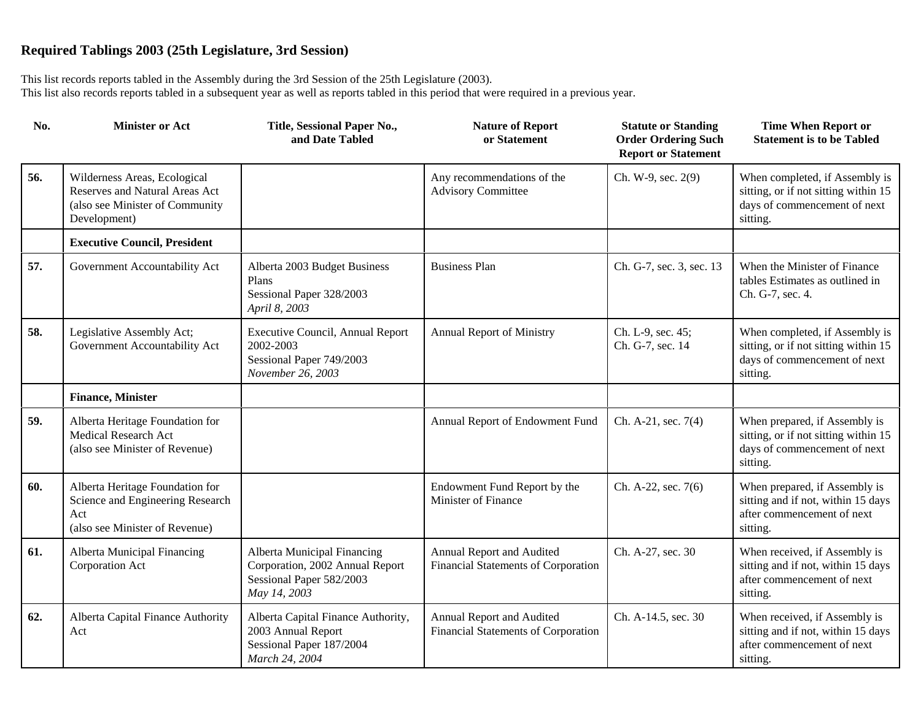| No. | <b>Minister or Act</b>                                                                                            | Title, Sessional Paper No.,<br>and Date Tabled                                                             | <b>Nature of Report</b><br>or Statement                          | <b>Statute or Standing</b><br><b>Order Ordering Such</b><br><b>Report or Statement</b> | <b>Time When Report or</b><br><b>Statement is to be Tabled</b>                                                     |
|-----|-------------------------------------------------------------------------------------------------------------------|------------------------------------------------------------------------------------------------------------|------------------------------------------------------------------|----------------------------------------------------------------------------------------|--------------------------------------------------------------------------------------------------------------------|
| 56. | Wilderness Areas, Ecological<br>Reserves and Natural Areas Act<br>(also see Minister of Community<br>Development) |                                                                                                            | Any recommendations of the<br><b>Advisory Committee</b>          | Ch. W-9, sec. 2(9)                                                                     | When completed, if Assembly is<br>sitting, or if not sitting within 15<br>days of commencement of next<br>sitting. |
|     | <b>Executive Council, President</b>                                                                               |                                                                                                            |                                                                  |                                                                                        |                                                                                                                    |
| 57. | Government Accountability Act                                                                                     | Alberta 2003 Budget Business<br>Plans<br>Sessional Paper 328/2003<br>April 8, 2003                         | <b>Business Plan</b>                                             | Ch. G-7, sec. 3, sec. 13                                                               | When the Minister of Finance<br>tables Estimates as outlined in<br>Ch. G-7, sec. 4.                                |
| 58. | Legislative Assembly Act;<br>Government Accountability Act                                                        | Executive Council, Annual Report<br>2002-2003<br>Sessional Paper 749/2003<br>November 26, 2003             | <b>Annual Report of Ministry</b>                                 | Ch. L-9, sec. 45;<br>Ch. G-7, sec. 14                                                  | When completed, if Assembly is<br>sitting, or if not sitting within 15<br>days of commencement of next<br>sitting. |
|     | <b>Finance, Minister</b>                                                                                          |                                                                                                            |                                                                  |                                                                                        |                                                                                                                    |
| 59. | Alberta Heritage Foundation for<br>Medical Research Act<br>(also see Minister of Revenue)                         |                                                                                                            | Annual Report of Endowment Fund                                  | Ch. A-21, sec. 7(4)                                                                    | When prepared, if Assembly is<br>sitting, or if not sitting within 15<br>days of commencement of next<br>sitting.  |
| 60. | Alberta Heritage Foundation for<br>Science and Engineering Research<br>Act<br>(also see Minister of Revenue)      |                                                                                                            | Endowment Fund Report by the<br>Minister of Finance              | Ch. A-22, sec. 7(6)                                                                    | When prepared, if Assembly is<br>sitting and if not, within 15 days<br>after commencement of next<br>sitting.      |
| 61. | Alberta Municipal Financing<br>Corporation Act                                                                    | Alberta Municipal Financing<br>Corporation, 2002 Annual Report<br>Sessional Paper 582/2003<br>May 14, 2003 | Annual Report and Audited<br>Financial Statements of Corporation | Ch. A-27, sec. 30                                                                      | When received, if Assembly is<br>sitting and if not, within 15 days<br>after commencement of next<br>sitting.      |
| 62. | Alberta Capital Finance Authority<br>Act                                                                          | Alberta Capital Finance Authority,<br>2003 Annual Report<br>Sessional Paper 187/2004<br>March 24, 2004     | Annual Report and Audited<br>Financial Statements of Corporation | Ch. A-14.5, sec. 30                                                                    | When received, if Assembly is<br>sitting and if not, within 15 days<br>after commencement of next<br>sitting.      |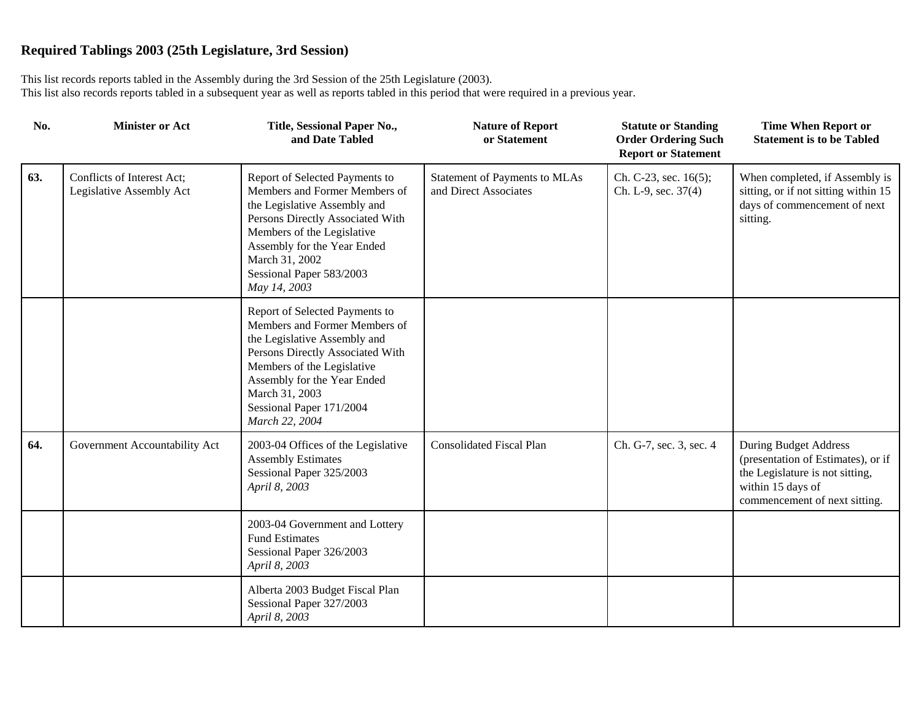| No. | <b>Minister or Act</b>                                 | Title, Sessional Paper No.,<br>and Date Tabled                                                                                                                                                                                                                   | <b>Nature of Report</b><br>or Statement                | <b>Statute or Standing</b><br><b>Order Ordering Such</b><br><b>Report or Statement</b> | <b>Time When Report or</b><br><b>Statement is to be Tabled</b>                                                                                              |
|-----|--------------------------------------------------------|------------------------------------------------------------------------------------------------------------------------------------------------------------------------------------------------------------------------------------------------------------------|--------------------------------------------------------|----------------------------------------------------------------------------------------|-------------------------------------------------------------------------------------------------------------------------------------------------------------|
| 63. | Conflicts of Interest Act;<br>Legislative Assembly Act | Report of Selected Payments to<br>Members and Former Members of<br>the Legislative Assembly and<br>Persons Directly Associated With<br>Members of the Legislative<br>Assembly for the Year Ended<br>March 31, 2002<br>Sessional Paper 583/2003<br>May 14, 2003   | Statement of Payments to MLAs<br>and Direct Associates | Ch. C-23, sec. 16(5);<br>Ch. L-9, sec. 37(4)                                           | When completed, if Assembly is<br>sitting, or if not sitting within 15<br>days of commencement of next<br>sitting.                                          |
|     |                                                        | Report of Selected Payments to<br>Members and Former Members of<br>the Legislative Assembly and<br>Persons Directly Associated With<br>Members of the Legislative<br>Assembly for the Year Ended<br>March 31, 2003<br>Sessional Paper 171/2004<br>March 22, 2004 |                                                        |                                                                                        |                                                                                                                                                             |
| 64. | Government Accountability Act                          | 2003-04 Offices of the Legislative<br><b>Assembly Estimates</b><br>Sessional Paper 325/2003<br>April 8, 2003                                                                                                                                                     | <b>Consolidated Fiscal Plan</b>                        | Ch. G-7, sec. 3, sec. 4                                                                | <b>During Budget Address</b><br>(presentation of Estimates), or if<br>the Legislature is not sitting,<br>within 15 days of<br>commencement of next sitting. |
|     |                                                        | 2003-04 Government and Lottery<br><b>Fund Estimates</b><br>Sessional Paper 326/2003<br>April 8, 2003                                                                                                                                                             |                                                        |                                                                                        |                                                                                                                                                             |
|     |                                                        | Alberta 2003 Budget Fiscal Plan<br>Sessional Paper 327/2003<br>April 8, 2003                                                                                                                                                                                     |                                                        |                                                                                        |                                                                                                                                                             |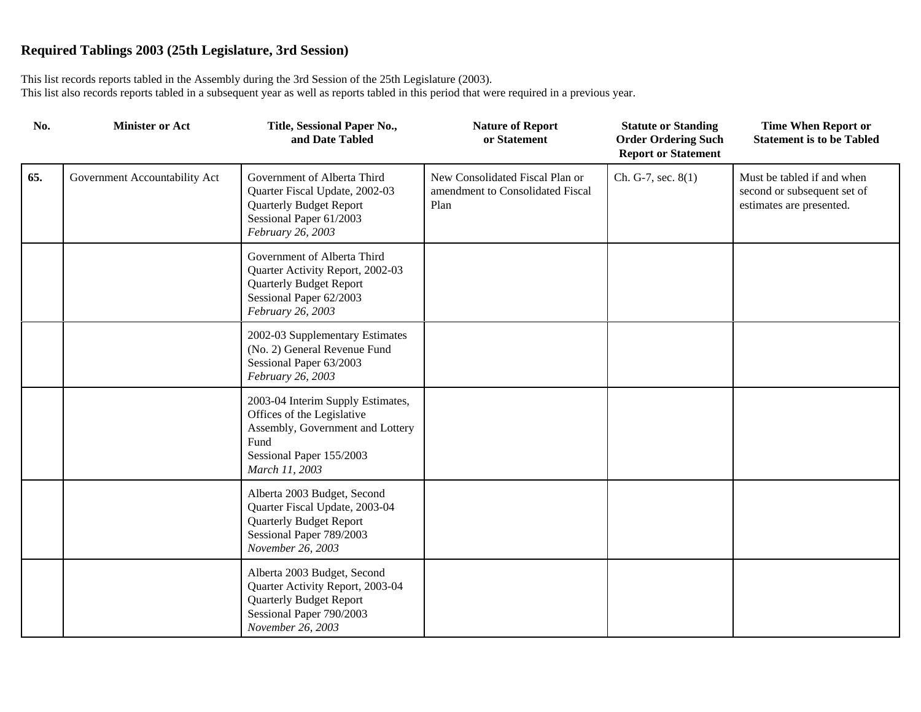| No. | <b>Minister or Act</b>        | Title, Sessional Paper No.,<br>and Date Tabled                                                                                                            | <b>Nature of Report</b><br>or Statement                                     | <b>Statute or Standing</b><br><b>Order Ordering Such</b><br><b>Report or Statement</b> | <b>Time When Report or</b><br><b>Statement is to be Tabled</b>                        |
|-----|-------------------------------|-----------------------------------------------------------------------------------------------------------------------------------------------------------|-----------------------------------------------------------------------------|----------------------------------------------------------------------------------------|---------------------------------------------------------------------------------------|
| 65. | Government Accountability Act | Government of Alberta Third<br>Quarter Fiscal Update, 2002-03<br><b>Quarterly Budget Report</b><br>Sessional Paper 61/2003<br>February 26, 2003           | New Consolidated Fiscal Plan or<br>amendment to Consolidated Fiscal<br>Plan | Ch. G-7, sec. 8(1)                                                                     | Must be tabled if and when<br>second or subsequent set of<br>estimates are presented. |
|     |                               | Government of Alberta Third<br>Quarter Activity Report, 2002-03<br><b>Quarterly Budget Report</b><br>Sessional Paper 62/2003<br>February 26, 2003         |                                                                             |                                                                                        |                                                                                       |
|     |                               | 2002-03 Supplementary Estimates<br>(No. 2) General Revenue Fund<br>Sessional Paper 63/2003<br>February 26, 2003                                           |                                                                             |                                                                                        |                                                                                       |
|     |                               | 2003-04 Interim Supply Estimates,<br>Offices of the Legislative<br>Assembly, Government and Lottery<br>Fund<br>Sessional Paper 155/2003<br>March 11, 2003 |                                                                             |                                                                                        |                                                                                       |
|     |                               | Alberta 2003 Budget, Second<br>Quarter Fiscal Update, 2003-04<br><b>Quarterly Budget Report</b><br>Sessional Paper 789/2003<br>November 26, 2003          |                                                                             |                                                                                        |                                                                                       |
|     |                               | Alberta 2003 Budget, Second<br>Quarter Activity Report, 2003-04<br><b>Quarterly Budget Report</b><br>Sessional Paper 790/2003<br>November 26, 2003        |                                                                             |                                                                                        |                                                                                       |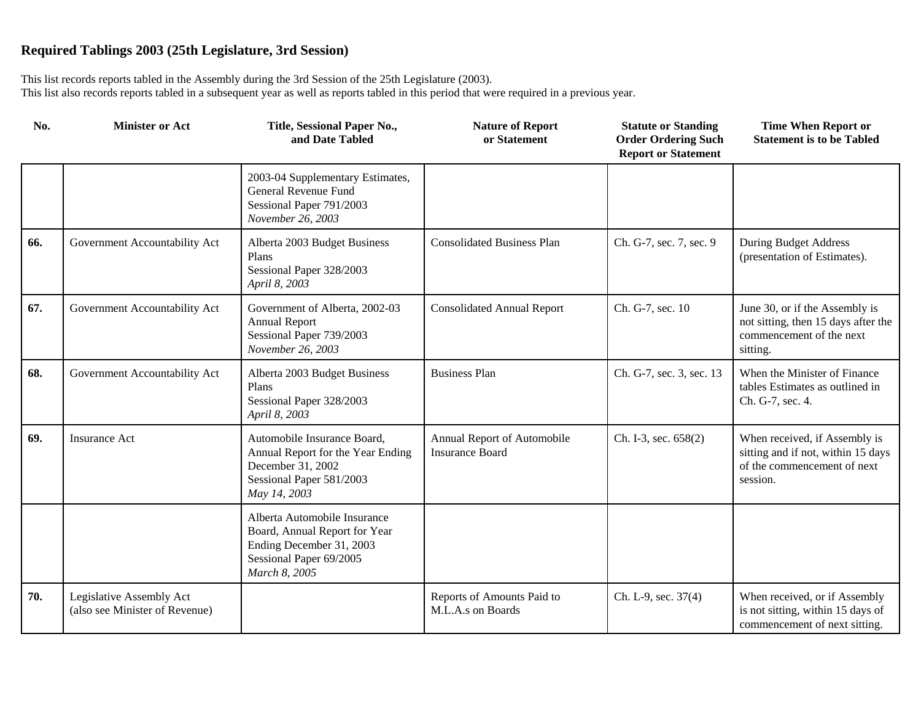| No. | <b>Minister or Act</b>                                     | Title, Sessional Paper No.,<br>and Date Tabled                                                                                        | <b>Nature of Report</b><br>or Statement               | <b>Statute or Standing</b><br><b>Order Ordering Such</b><br><b>Report or Statement</b> | <b>Time When Report or</b><br><b>Statement is to be Tabled</b>                                                 |
|-----|------------------------------------------------------------|---------------------------------------------------------------------------------------------------------------------------------------|-------------------------------------------------------|----------------------------------------------------------------------------------------|----------------------------------------------------------------------------------------------------------------|
|     |                                                            | 2003-04 Supplementary Estimates,<br>General Revenue Fund<br>Sessional Paper 791/2003<br>November 26, 2003                             |                                                       |                                                                                        |                                                                                                                |
| 66. | Government Accountability Act                              | Alberta 2003 Budget Business<br>Plans<br>Sessional Paper 328/2003<br>April 8, 2003                                                    | <b>Consolidated Business Plan</b>                     | Ch. G-7, sec. 7, sec. 9                                                                | <b>During Budget Address</b><br>(presentation of Estimates).                                                   |
| 67. | Government Accountability Act                              | Government of Alberta, 2002-03<br><b>Annual Report</b><br>Sessional Paper 739/2003<br>November 26, 2003                               | <b>Consolidated Annual Report</b>                     | Ch. G-7, sec. 10                                                                       | June 30, or if the Assembly is<br>not sitting, then 15 days after the<br>commencement of the next<br>sitting.  |
| 68. | Government Accountability Act                              | Alberta 2003 Budget Business<br>Plans<br>Sessional Paper 328/2003<br>April 8, 2003                                                    | <b>Business Plan</b>                                  | Ch. G-7, sec. 3, sec. 13                                                               | When the Minister of Finance<br>tables Estimates as outlined in<br>Ch. G-7, sec. 4.                            |
| 69. | <b>Insurance Act</b>                                       | Automobile Insurance Board,<br>Annual Report for the Year Ending<br>December 31, 2002<br>Sessional Paper 581/2003<br>May 14, 2003     | Annual Report of Automobile<br><b>Insurance Board</b> | Ch. I-3, sec. 658(2)                                                                   | When received, if Assembly is<br>sitting and if not, within 15 days<br>of the commencement of next<br>session. |
|     |                                                            | Alberta Automobile Insurance<br>Board, Annual Report for Year<br>Ending December 31, 2003<br>Sessional Paper 69/2005<br>March 8, 2005 |                                                       |                                                                                        |                                                                                                                |
| 70. | Legislative Assembly Act<br>(also see Minister of Revenue) |                                                                                                                                       | Reports of Amounts Paid to<br>M.L.A.s on Boards       | Ch. L-9, sec. 37(4)                                                                    | When received, or if Assembly<br>is not sitting, within 15 days of<br>commencement of next sitting.            |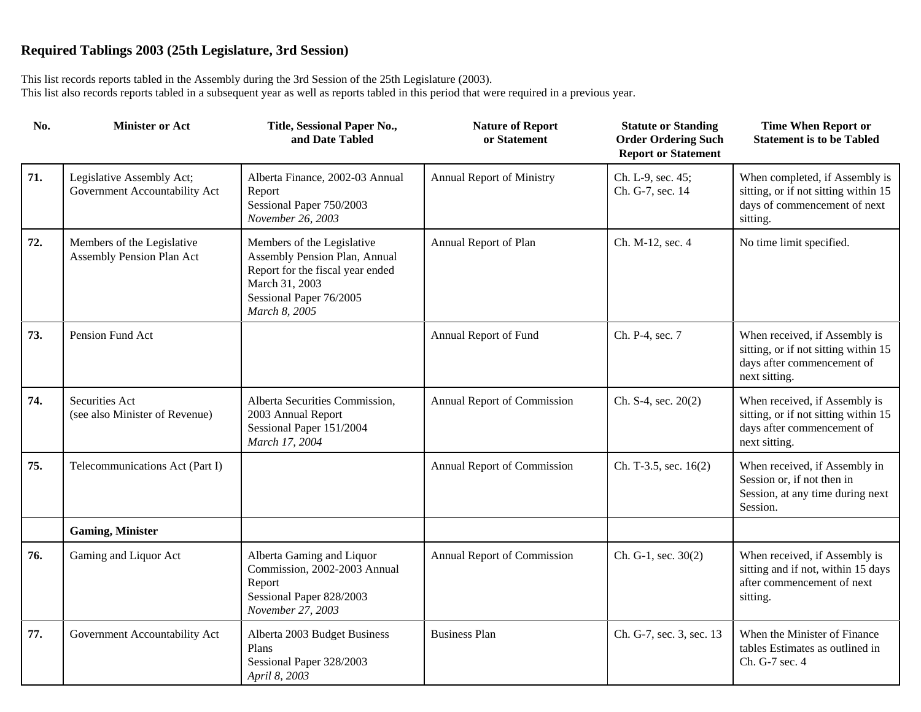| No. | <b>Minister or Act</b>                                     | Title, Sessional Paper No.,<br>and Date Tabled                                                                                                                | <b>Nature of Report</b><br>or Statement | <b>Statute or Standing</b><br><b>Order Ordering Such</b><br><b>Report or Statement</b> | <b>Time When Report or</b><br><b>Statement is to be Tabled</b>                                                       |
|-----|------------------------------------------------------------|---------------------------------------------------------------------------------------------------------------------------------------------------------------|-----------------------------------------|----------------------------------------------------------------------------------------|----------------------------------------------------------------------------------------------------------------------|
| 71. | Legislative Assembly Act;<br>Government Accountability Act | Alberta Finance, 2002-03 Annual<br>Report<br>Sessional Paper 750/2003<br>November 26, 2003                                                                    | Annual Report of Ministry               | Ch. L-9, sec. 45;<br>Ch. G-7, sec. 14                                                  | When completed, if Assembly is<br>sitting, or if not sitting within 15<br>days of commencement of next<br>sitting.   |
| 72. | Members of the Legislative<br>Assembly Pension Plan Act    | Members of the Legislative<br>Assembly Pension Plan, Annual<br>Report for the fiscal year ended<br>March 31, 2003<br>Sessional Paper 76/2005<br>March 8, 2005 | Annual Report of Plan                   | Ch. M-12, sec. 4                                                                       | No time limit specified.                                                                                             |
| 73. | Pension Fund Act                                           |                                                                                                                                                               | Annual Report of Fund                   | Ch. P-4, sec. 7                                                                        | When received, if Assembly is<br>sitting, or if not sitting within 15<br>days after commencement of<br>next sitting. |
| 74. | Securities Act<br>(see also Minister of Revenue)           | Alberta Securities Commission,<br>2003 Annual Report<br>Sessional Paper 151/2004<br>March 17, 2004                                                            | Annual Report of Commission             | Ch. $S-4$ , sec. $20(2)$                                                               | When received, if Assembly is<br>sitting, or if not sitting within 15<br>days after commencement of<br>next sitting. |
| 75. | Telecommunications Act (Part I)                            |                                                                                                                                                               | Annual Report of Commission             | Ch. T-3.5, sec. 16(2)                                                                  | When received, if Assembly in<br>Session or, if not then in<br>Session, at any time during next<br>Session.          |
|     | <b>Gaming, Minister</b>                                    |                                                                                                                                                               |                                         |                                                                                        |                                                                                                                      |
| 76. | Gaming and Liquor Act                                      | Alberta Gaming and Liquor<br>Commission, 2002-2003 Annual<br>Report<br>Sessional Paper 828/2003<br>November 27, 2003                                          | Annual Report of Commission             | Ch. G-1, sec. 30(2)                                                                    | When received, if Assembly is<br>sitting and if not, within 15 days<br>after commencement of next<br>sitting.        |
| 77. | Government Accountability Act                              | Alberta 2003 Budget Business<br>Plans<br>Sessional Paper 328/2003<br>April 8, 2003                                                                            | <b>Business Plan</b>                    | Ch. G-7, sec. 3, sec. 13                                                               | When the Minister of Finance<br>tables Estimates as outlined in<br>Ch. G-7 sec. 4                                    |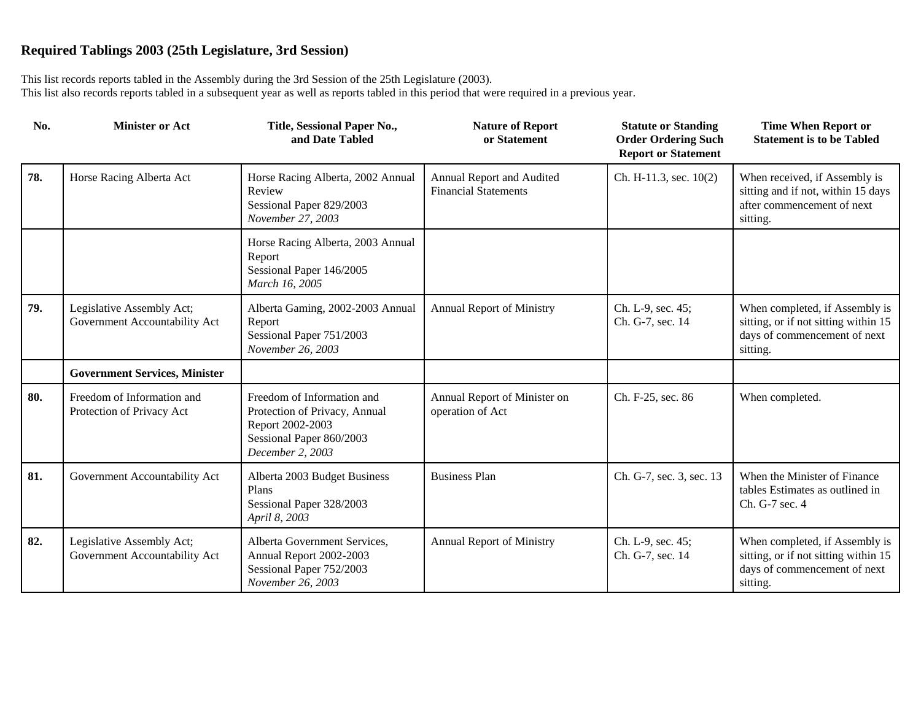| No. | <b>Minister or Act</b>                                     | Title, Sessional Paper No.,<br>and Date Tabled                                                                                  | <b>Nature of Report</b><br>or Statement                  | <b>Statute or Standing</b><br><b>Order Ordering Such</b><br><b>Report or Statement</b> | <b>Time When Report or</b><br><b>Statement is to be Tabled</b>                                                     |
|-----|------------------------------------------------------------|---------------------------------------------------------------------------------------------------------------------------------|----------------------------------------------------------|----------------------------------------------------------------------------------------|--------------------------------------------------------------------------------------------------------------------|
| 78. | Horse Racing Alberta Act                                   | Horse Racing Alberta, 2002 Annual<br>Review<br>Sessional Paper 829/2003<br>November 27, 2003                                    | Annual Report and Audited<br><b>Financial Statements</b> | Ch. H-11.3, sec. 10(2)                                                                 | When received, if Assembly is<br>sitting and if not, within 15 days<br>after commencement of next<br>sitting.      |
|     |                                                            | Horse Racing Alberta, 2003 Annual<br>Report<br>Sessional Paper 146/2005<br>March 16, 2005                                       |                                                          |                                                                                        |                                                                                                                    |
| 79. | Legislative Assembly Act;<br>Government Accountability Act | Alberta Gaming, 2002-2003 Annual<br>Report<br>Sessional Paper 751/2003<br>November 26, 2003                                     | <b>Annual Report of Ministry</b>                         | Ch. L-9, sec. 45;<br>Ch. G-7, sec. 14                                                  | When completed, if Assembly is<br>sitting, or if not sitting within 15<br>days of commencement of next<br>sitting. |
|     | <b>Government Services, Minister</b>                       |                                                                                                                                 |                                                          |                                                                                        |                                                                                                                    |
| 80. | Freedom of Information and<br>Protection of Privacy Act    | Freedom of Information and<br>Protection of Privacy, Annual<br>Report 2002-2003<br>Sessional Paper 860/2003<br>December 2, 2003 | Annual Report of Minister on<br>operation of Act         | Ch. F-25, sec. 86                                                                      | When completed.                                                                                                    |
| 81. | Government Accountability Act                              | Alberta 2003 Budget Business<br>Plans<br>Sessional Paper 328/2003<br>April 8, 2003                                              | <b>Business Plan</b>                                     | Ch. G-7, sec. 3, sec. 13                                                               | When the Minister of Finance<br>tables Estimates as outlined in<br>Ch. G-7 sec. 4                                  |
| 82. | Legislative Assembly Act;<br>Government Accountability Act | Alberta Government Services,<br>Annual Report 2002-2003<br>Sessional Paper 752/2003<br>November 26, 2003                        | <b>Annual Report of Ministry</b>                         | Ch. L-9, sec. 45;<br>Ch. G-7, sec. 14                                                  | When completed, if Assembly is<br>sitting, or if not sitting within 15<br>days of commencement of next<br>sitting. |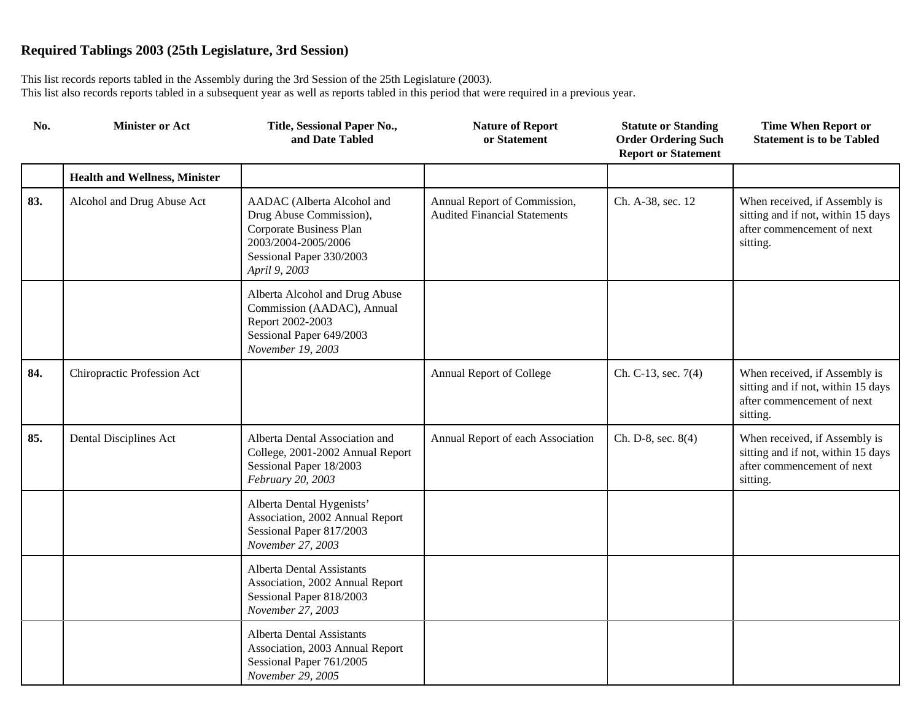| No. | <b>Minister or Act</b>               | Title, Sessional Paper No.,<br>and Date Tabled                                                                                                       | <b>Nature of Report</b><br>or Statement                             | <b>Statute or Standing</b><br><b>Order Ordering Such</b><br><b>Report or Statement</b> | <b>Time When Report or</b><br><b>Statement is to be Tabled</b>                                                |
|-----|--------------------------------------|------------------------------------------------------------------------------------------------------------------------------------------------------|---------------------------------------------------------------------|----------------------------------------------------------------------------------------|---------------------------------------------------------------------------------------------------------------|
|     | <b>Health and Wellness, Minister</b> |                                                                                                                                                      |                                                                     |                                                                                        |                                                                                                               |
| 83. | Alcohol and Drug Abuse Act           | AADAC (Alberta Alcohol and<br>Drug Abuse Commission),<br>Corporate Business Plan<br>2003/2004-2005/2006<br>Sessional Paper 330/2003<br>April 9, 2003 | Annual Report of Commission,<br><b>Audited Financial Statements</b> | Ch. A-38, sec. 12                                                                      | When received, if Assembly is<br>sitting and if not, within 15 days<br>after commencement of next<br>sitting. |
|     |                                      | Alberta Alcohol and Drug Abuse<br>Commission (AADAC), Annual<br>Report 2002-2003<br>Sessional Paper 649/2003<br>November 19, 2003                    |                                                                     |                                                                                        |                                                                                                               |
| 84. | Chiropractic Profession Act          |                                                                                                                                                      | Annual Report of College                                            | Ch. C-13, sec. 7(4)                                                                    | When received, if Assembly is<br>sitting and if not, within 15 days<br>after commencement of next<br>sitting. |
| 85. | Dental Disciplines Act               | Alberta Dental Association and<br>College, 2001-2002 Annual Report<br>Sessional Paper 18/2003<br>February 20, 2003                                   | Annual Report of each Association                                   | Ch. D-8, sec. 8(4)                                                                     | When received, if Assembly is<br>sitting and if not, within 15 days<br>after commencement of next<br>sitting. |
|     |                                      | Alberta Dental Hygenists'<br>Association, 2002 Annual Report<br>Sessional Paper 817/2003<br>November 27, 2003                                        |                                                                     |                                                                                        |                                                                                                               |
|     |                                      | <b>Alberta Dental Assistants</b><br>Association, 2002 Annual Report<br>Sessional Paper 818/2003<br>November 27, 2003                                 |                                                                     |                                                                                        |                                                                                                               |
|     |                                      | Alberta Dental Assistants<br>Association, 2003 Annual Report<br>Sessional Paper 761/2005<br>November 29, 2005                                        |                                                                     |                                                                                        |                                                                                                               |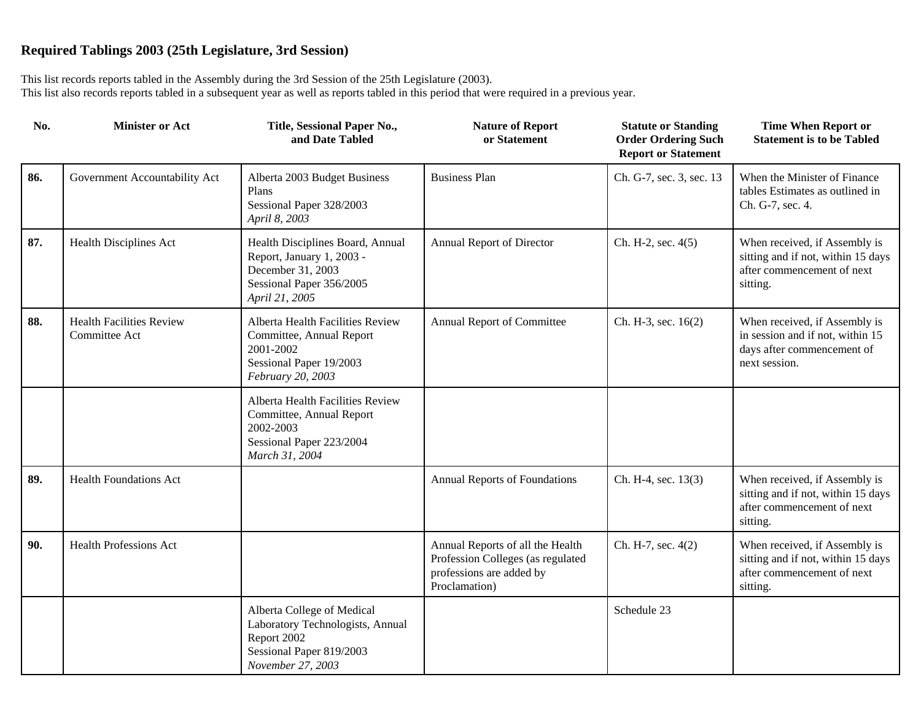| No. | <b>Minister or Act</b>                           | Title, Sessional Paper No.,<br>and Date Tabled                                                                                   | <b>Nature of Report</b><br>or Statement                                                                            | <b>Statute or Standing</b><br><b>Order Ordering Such</b><br><b>Report or Statement</b> | <b>Time When Report or</b><br><b>Statement is to be Tabled</b>                                                   |
|-----|--------------------------------------------------|----------------------------------------------------------------------------------------------------------------------------------|--------------------------------------------------------------------------------------------------------------------|----------------------------------------------------------------------------------------|------------------------------------------------------------------------------------------------------------------|
| 86. | Government Accountability Act                    | Alberta 2003 Budget Business<br>Plans<br>Sessional Paper 328/2003<br>April 8, 2003                                               | <b>Business Plan</b>                                                                                               | Ch. G-7, sec. 3, sec. 13                                                               | When the Minister of Finance<br>tables Estimates as outlined in<br>Ch. G-7, sec. 4.                              |
| 87. | Health Disciplines Act                           | Health Disciplines Board, Annual<br>Report, January 1, 2003 -<br>December 31, 2003<br>Sessional Paper 356/2005<br>April 21, 2005 | Annual Report of Director                                                                                          | Ch. H-2, sec. 4(5)                                                                     | When received, if Assembly is<br>sitting and if not, within 15 days<br>after commencement of next<br>sitting.    |
| 88. | <b>Health Facilities Review</b><br>Committee Act | Alberta Health Facilities Review<br>Committee, Annual Report<br>2001-2002<br>Sessional Paper 19/2003<br>February 20, 2003        | Annual Report of Committee                                                                                         | Ch. H-3, sec. 16(2)                                                                    | When received, if Assembly is<br>in session and if not, within 15<br>days after commencement of<br>next session. |
|     |                                                  | Alberta Health Facilities Review<br>Committee, Annual Report<br>2002-2003<br>Sessional Paper 223/2004<br>March 31, 2004          |                                                                                                                    |                                                                                        |                                                                                                                  |
| 89. | <b>Health Foundations Act</b>                    |                                                                                                                                  | Annual Reports of Foundations                                                                                      | Ch. H-4, sec. 13(3)                                                                    | When received, if Assembly is<br>sitting and if not, within 15 days<br>after commencement of next<br>sitting.    |
| 90. | <b>Health Professions Act</b>                    |                                                                                                                                  | Annual Reports of all the Health<br>Profession Colleges (as regulated<br>professions are added by<br>Proclamation) | Ch. H-7, sec. 4(2)                                                                     | When received, if Assembly is<br>sitting and if not, within 15 days<br>after commencement of next<br>sitting.    |
|     |                                                  | Alberta College of Medical<br>Laboratory Technologists, Annual<br>Report 2002<br>Sessional Paper 819/2003<br>November 27, 2003   |                                                                                                                    | Schedule 23                                                                            |                                                                                                                  |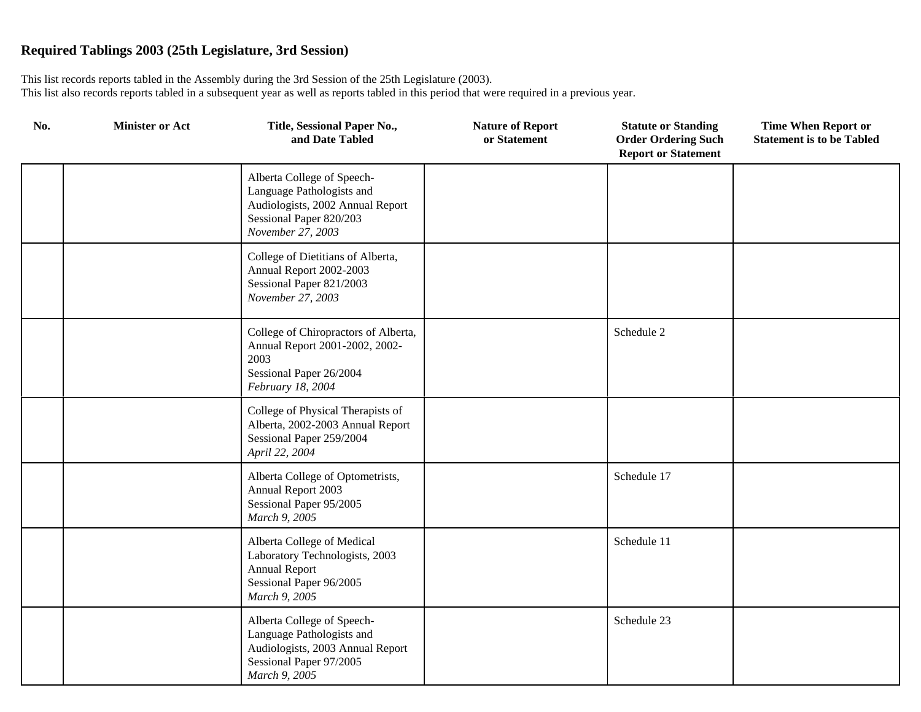| No. | <b>Minister or Act</b> | Title, Sessional Paper No.,<br>and Date Tabled                                                                                              | <b>Nature of Report</b><br>or Statement | <b>Statute or Standing</b><br><b>Order Ordering Such</b><br><b>Report or Statement</b> | <b>Time When Report or</b><br><b>Statement is to be Tabled</b> |
|-----|------------------------|---------------------------------------------------------------------------------------------------------------------------------------------|-----------------------------------------|----------------------------------------------------------------------------------------|----------------------------------------------------------------|
|     |                        | Alberta College of Speech-<br>Language Pathologists and<br>Audiologists, 2002 Annual Report<br>Sessional Paper 820/203<br>November 27, 2003 |                                         |                                                                                        |                                                                |
|     |                        | College of Dietitians of Alberta,<br>Annual Report 2002-2003<br>Sessional Paper 821/2003<br>November 27, 2003                               |                                         |                                                                                        |                                                                |
|     |                        | College of Chiropractors of Alberta,<br>Annual Report 2001-2002, 2002-<br>2003<br>Sessional Paper 26/2004<br>February 18, 2004              |                                         | Schedule 2                                                                             |                                                                |
|     |                        | College of Physical Therapists of<br>Alberta, 2002-2003 Annual Report<br>Sessional Paper 259/2004<br>April 22, 2004                         |                                         |                                                                                        |                                                                |
|     |                        | Alberta College of Optometrists,<br>Annual Report 2003<br>Sessional Paper 95/2005<br>March 9, 2005                                          |                                         | Schedule 17                                                                            |                                                                |
|     |                        | Alberta College of Medical<br>Laboratory Technologists, 2003<br><b>Annual Report</b><br>Sessional Paper 96/2005<br>March 9, 2005            |                                         | Schedule 11                                                                            |                                                                |
|     |                        | Alberta College of Speech-<br>Language Pathologists and<br>Audiologists, 2003 Annual Report<br>Sessional Paper 97/2005<br>March 9, 2005     |                                         | Schedule 23                                                                            |                                                                |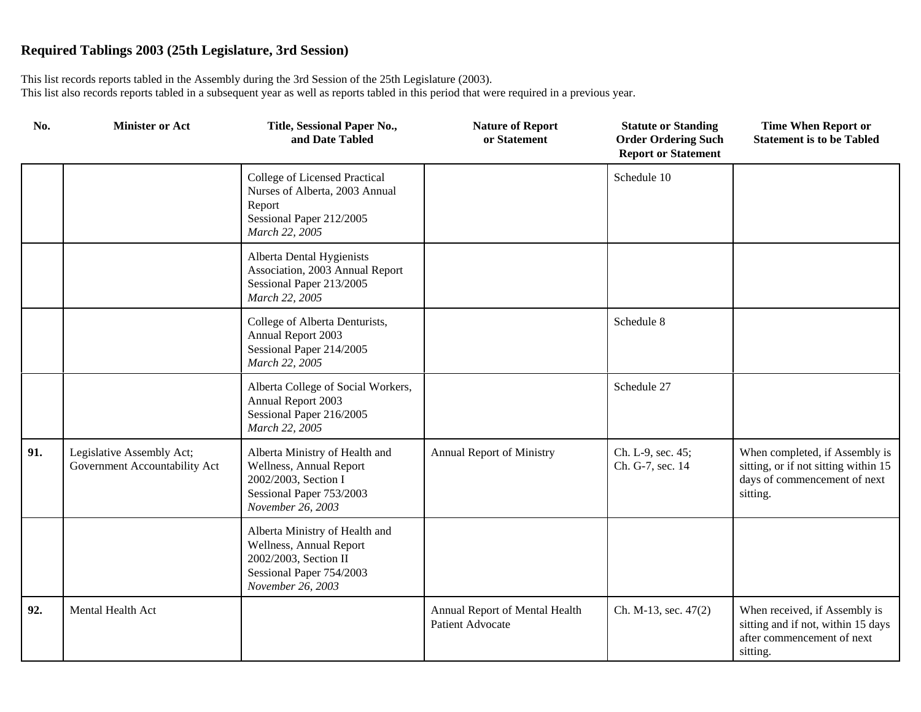| No. | <b>Minister or Act</b>                                     | Title, Sessional Paper No.,<br>and Date Tabled                                                                                      | <b>Nature of Report</b><br>or Statement            | <b>Statute or Standing</b><br><b>Order Ordering Such</b><br><b>Report or Statement</b> | <b>Time When Report or</b><br><b>Statement is to be Tabled</b>                                                     |
|-----|------------------------------------------------------------|-------------------------------------------------------------------------------------------------------------------------------------|----------------------------------------------------|----------------------------------------------------------------------------------------|--------------------------------------------------------------------------------------------------------------------|
|     |                                                            | College of Licensed Practical<br>Nurses of Alberta, 2003 Annual<br>Report<br>Sessional Paper 212/2005<br>March 22, 2005             |                                                    | Schedule 10                                                                            |                                                                                                                    |
|     |                                                            | Alberta Dental Hygienists<br>Association, 2003 Annual Report<br>Sessional Paper 213/2005<br>March 22, 2005                          |                                                    |                                                                                        |                                                                                                                    |
|     |                                                            | College of Alberta Denturists,<br>Annual Report 2003<br>Sessional Paper 214/2005<br>March 22, 2005                                  |                                                    | Schedule 8                                                                             |                                                                                                                    |
|     |                                                            | Alberta College of Social Workers,<br>Annual Report 2003<br>Sessional Paper 216/2005<br>March 22, 2005                              |                                                    | Schedule 27                                                                            |                                                                                                                    |
| 91. | Legislative Assembly Act;<br>Government Accountability Act | Alberta Ministry of Health and<br>Wellness, Annual Report<br>2002/2003, Section I<br>Sessional Paper 753/2003<br>November 26, 2003  | <b>Annual Report of Ministry</b>                   | Ch. L-9, sec. 45;<br>Ch. G-7, sec. 14                                                  | When completed, if Assembly is<br>sitting, or if not sitting within 15<br>days of commencement of next<br>sitting. |
|     |                                                            | Alberta Ministry of Health and<br>Wellness, Annual Report<br>2002/2003, Section II<br>Sessional Paper 754/2003<br>November 26, 2003 |                                                    |                                                                                        |                                                                                                                    |
| 92. | Mental Health Act                                          |                                                                                                                                     | Annual Report of Mental Health<br>Patient Advocate | Ch. M-13, sec. 47(2)                                                                   | When received, if Assembly is<br>sitting and if not, within 15 days<br>after commencement of next<br>sitting.      |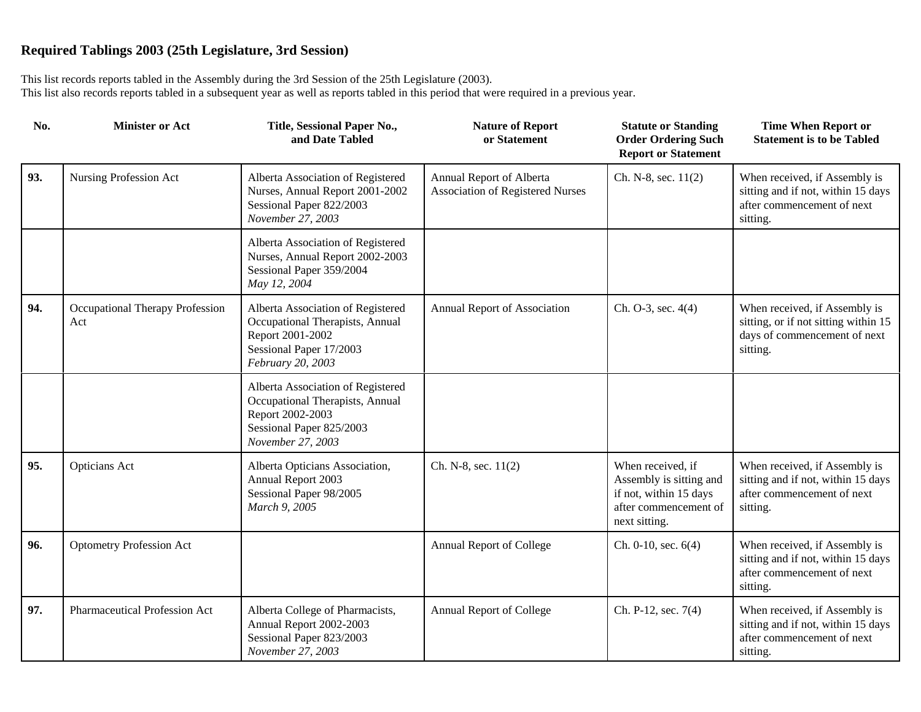| No. | <b>Minister or Act</b>                 | Title, Sessional Paper No.,<br>and Date Tabled                                                                                            | <b>Nature of Report</b><br>or Statement                      | <b>Statute or Standing</b><br><b>Order Ordering Such</b><br><b>Report or Statement</b>                           | <b>Time When Report or</b><br><b>Statement is to be Tabled</b>                                                    |
|-----|----------------------------------------|-------------------------------------------------------------------------------------------------------------------------------------------|--------------------------------------------------------------|------------------------------------------------------------------------------------------------------------------|-------------------------------------------------------------------------------------------------------------------|
| 93. | Nursing Profession Act                 | Alberta Association of Registered<br>Nurses, Annual Report 2001-2002<br>Sessional Paper 822/2003<br>November 27, 2003                     | Annual Report of Alberta<br>Association of Registered Nurses | Ch. N-8, sec. 11(2)                                                                                              | When received, if Assembly is<br>sitting and if not, within 15 days<br>after commencement of next<br>sitting.     |
|     |                                        | Alberta Association of Registered<br>Nurses, Annual Report 2002-2003<br>Sessional Paper 359/2004<br>May 12, 2004                          |                                                              |                                                                                                                  |                                                                                                                   |
| 94. | Occupational Therapy Profession<br>Act | Alberta Association of Registered<br>Occupational Therapists, Annual<br>Report 2001-2002<br>Sessional Paper 17/2003<br>February 20, 2003  | Annual Report of Association                                 | Ch. O-3, sec. 4(4)                                                                                               | When received, if Assembly is<br>sitting, or if not sitting within 15<br>days of commencement of next<br>sitting. |
|     |                                        | Alberta Association of Registered<br>Occupational Therapists, Annual<br>Report 2002-2003<br>Sessional Paper 825/2003<br>November 27, 2003 |                                                              |                                                                                                                  |                                                                                                                   |
| 95. | Opticians Act                          | Alberta Opticians Association,<br>Annual Report 2003<br>Sessional Paper 98/2005<br>March 9, 2005                                          | Ch. N-8, sec. 11(2)                                          | When received, if<br>Assembly is sitting and<br>if not, within 15 days<br>after commencement of<br>next sitting. | When received, if Assembly is<br>sitting and if not, within 15 days<br>after commencement of next<br>sitting.     |
| 96. | <b>Optometry Profession Act</b>        |                                                                                                                                           | Annual Report of College                                     | Ch. $0-10$ , sec. $6(4)$                                                                                         | When received, if Assembly is<br>sitting and if not, within 15 days<br>after commencement of next<br>sitting.     |
| 97. | Pharmaceutical Profession Act          | Alberta College of Pharmacists,<br>Annual Report 2002-2003<br>Sessional Paper 823/2003<br>November 27, 2003                               | Annual Report of College                                     | Ch. P-12, sec. 7(4)                                                                                              | When received, if Assembly is<br>sitting and if not, within 15 days<br>after commencement of next<br>sitting.     |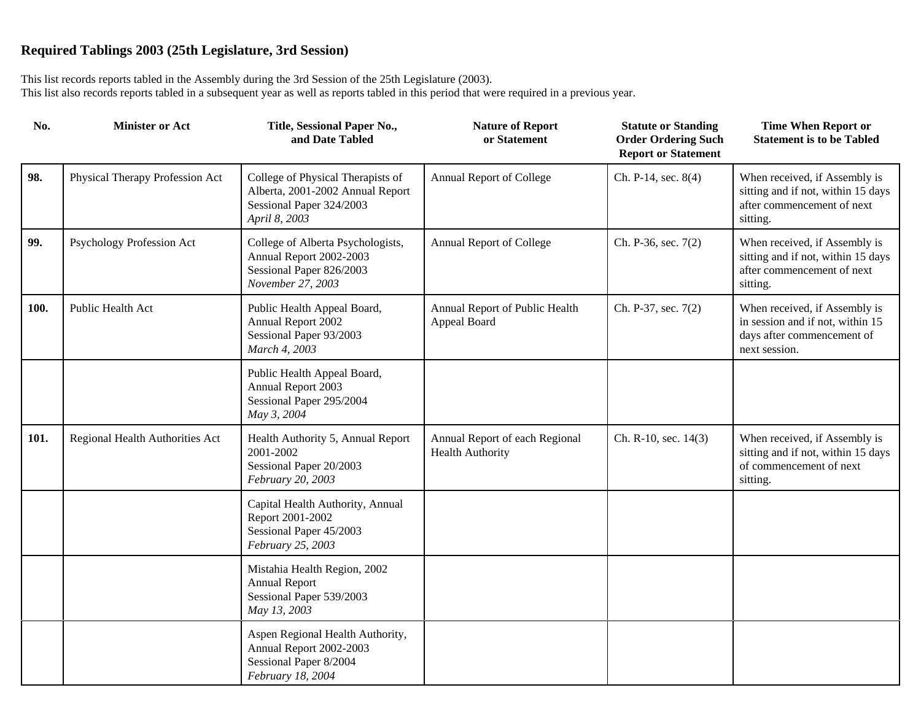| No.  | <b>Minister or Act</b>          | Title, Sessional Paper No.,<br>and Date Tabled                                                                     | <b>Nature of Report</b><br>or Statement                   | <b>Statute or Standing</b><br><b>Order Ordering Such</b><br><b>Report or Statement</b> | <b>Time When Report or</b><br><b>Statement is to be Tabled</b>                                                   |
|------|---------------------------------|--------------------------------------------------------------------------------------------------------------------|-----------------------------------------------------------|----------------------------------------------------------------------------------------|------------------------------------------------------------------------------------------------------------------|
| 98.  | Physical Therapy Profession Act | College of Physical Therapists of<br>Alberta, 2001-2002 Annual Report<br>Sessional Paper 324/2003<br>April 8, 2003 | Annual Report of College                                  | Ch. P-14, sec. 8(4)                                                                    | When received, if Assembly is<br>sitting and if not, within 15 days<br>after commencement of next<br>sitting.    |
| 99.  | Psychology Profession Act       | College of Alberta Psychologists,<br>Annual Report 2002-2003<br>Sessional Paper 826/2003<br>November 27, 2003      | Annual Report of College                                  | Ch. P-36, sec. 7(2)                                                                    | When received, if Assembly is<br>sitting and if not, within 15 days<br>after commencement of next<br>sitting.    |
| 100. | Public Health Act               | Public Health Appeal Board,<br>Annual Report 2002<br>Sessional Paper 93/2003<br>March 4, 2003                      | Annual Report of Public Health<br>Appeal Board            | Ch. P-37, sec. 7(2)                                                                    | When received, if Assembly is<br>in session and if not, within 15<br>days after commencement of<br>next session. |
|      |                                 | Public Health Appeal Board,<br>Annual Report 2003<br>Sessional Paper 295/2004<br>May 3, 2004                       |                                                           |                                                                                        |                                                                                                                  |
| 101. | Regional Health Authorities Act | Health Authority 5, Annual Report<br>2001-2002<br>Sessional Paper 20/2003<br>February 20, 2003                     | Annual Report of each Regional<br><b>Health Authority</b> | Ch. R-10, sec. 14(3)                                                                   | When received, if Assembly is<br>sitting and if not, within 15 days<br>of commencement of next<br>sitting.       |
|      |                                 | Capital Health Authority, Annual<br>Report 2001-2002<br>Sessional Paper 45/2003<br>February 25, 2003               |                                                           |                                                                                        |                                                                                                                  |
|      |                                 | Mistahia Health Region, 2002<br><b>Annual Report</b><br>Sessional Paper 539/2003<br>May 13, 2003                   |                                                           |                                                                                        |                                                                                                                  |
|      |                                 | Aspen Regional Health Authority,<br>Annual Report 2002-2003<br>Sessional Paper 8/2004<br>February 18, 2004         |                                                           |                                                                                        |                                                                                                                  |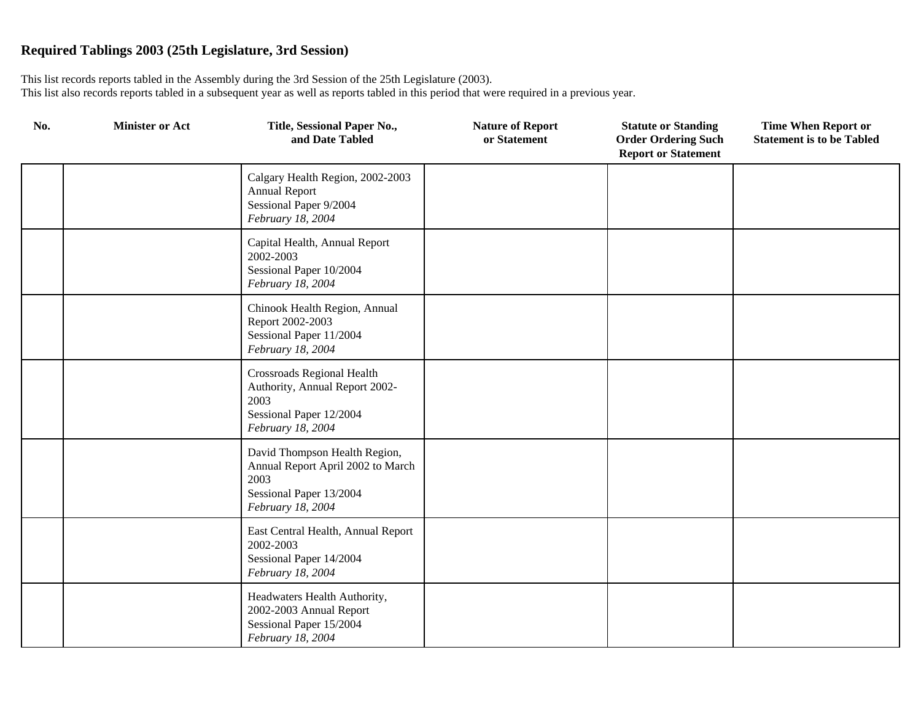| No. | <b>Minister or Act</b> | Title, Sessional Paper No.,<br>and Date Tabled                                                                              | <b>Nature of Report</b><br>or Statement | <b>Statute or Standing</b><br><b>Order Ordering Such</b><br><b>Report or Statement</b> | <b>Time When Report or</b><br><b>Statement is to be Tabled</b> |
|-----|------------------------|-----------------------------------------------------------------------------------------------------------------------------|-----------------------------------------|----------------------------------------------------------------------------------------|----------------------------------------------------------------|
|     |                        | Calgary Health Region, 2002-2003<br><b>Annual Report</b><br>Sessional Paper 9/2004<br>February 18, 2004                     |                                         |                                                                                        |                                                                |
|     |                        | Capital Health, Annual Report<br>2002-2003<br>Sessional Paper 10/2004<br>February 18, 2004                                  |                                         |                                                                                        |                                                                |
|     |                        | Chinook Health Region, Annual<br>Report 2002-2003<br>Sessional Paper 11/2004<br>February 18, 2004                           |                                         |                                                                                        |                                                                |
|     |                        | <b>Crossroads Regional Health</b><br>Authority, Annual Report 2002-<br>2003<br>Sessional Paper 12/2004<br>February 18, 2004 |                                         |                                                                                        |                                                                |
|     |                        | David Thompson Health Region,<br>Annual Report April 2002 to March<br>2003<br>Sessional Paper 13/2004<br>February 18, 2004  |                                         |                                                                                        |                                                                |
|     |                        | East Central Health, Annual Report<br>2002-2003<br>Sessional Paper 14/2004<br>February 18, 2004                             |                                         |                                                                                        |                                                                |
|     |                        | Headwaters Health Authority,<br>2002-2003 Annual Report<br>Sessional Paper 15/2004<br>February 18, 2004                     |                                         |                                                                                        |                                                                |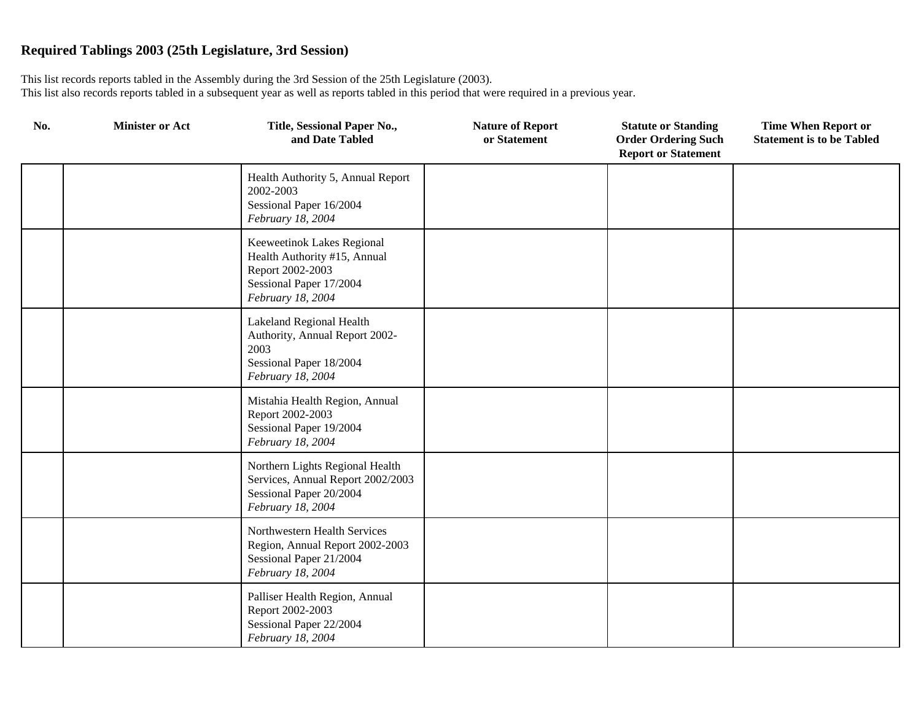| No. | <b>Minister or Act</b> | Title, Sessional Paper No.,<br>and Date Tabled                                                                                 | <b>Nature of Report</b><br>or Statement | <b>Statute or Standing</b><br><b>Order Ordering Such</b><br><b>Report or Statement</b> | <b>Time When Report or</b><br><b>Statement is to be Tabled</b> |
|-----|------------------------|--------------------------------------------------------------------------------------------------------------------------------|-----------------------------------------|----------------------------------------------------------------------------------------|----------------------------------------------------------------|
|     |                        | Health Authority 5, Annual Report<br>2002-2003<br>Sessional Paper 16/2004<br>February 18, 2004                                 |                                         |                                                                                        |                                                                |
|     |                        | Keeweetinok Lakes Regional<br>Health Authority #15, Annual<br>Report 2002-2003<br>Sessional Paper 17/2004<br>February 18, 2004 |                                         |                                                                                        |                                                                |
|     |                        | Lakeland Regional Health<br>Authority, Annual Report 2002-<br>2003<br>Sessional Paper 18/2004<br>February 18, 2004             |                                         |                                                                                        |                                                                |
|     |                        | Mistahia Health Region, Annual<br>Report 2002-2003<br>Sessional Paper 19/2004<br>February 18, 2004                             |                                         |                                                                                        |                                                                |
|     |                        | Northern Lights Regional Health<br>Services, Annual Report 2002/2003<br>Sessional Paper 20/2004<br>February 18, 2004           |                                         |                                                                                        |                                                                |
|     |                        | Northwestern Health Services<br>Region, Annual Report 2002-2003<br>Sessional Paper 21/2004<br>February 18, 2004                |                                         |                                                                                        |                                                                |
|     |                        | Palliser Health Region, Annual<br>Report 2002-2003<br>Sessional Paper 22/2004<br>February 18, 2004                             |                                         |                                                                                        |                                                                |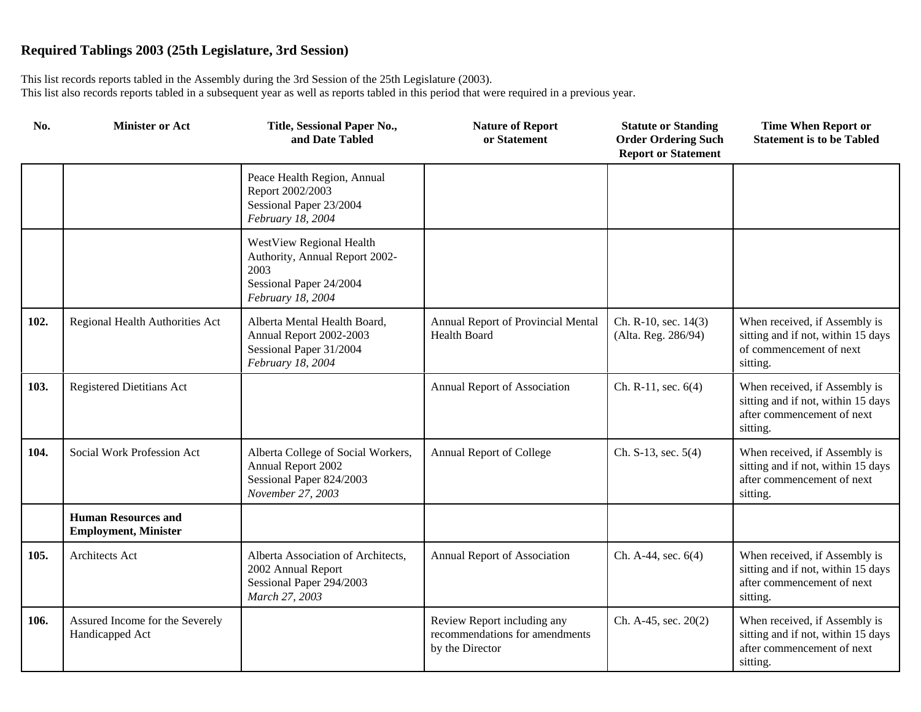| No.  | <b>Minister or Act</b>                                    | Title, Sessional Paper No.,<br>and Date Tabled                                                                     | <b>Nature of Report</b><br>or Statement                                          | <b>Statute or Standing</b><br><b>Order Ordering Such</b><br><b>Report or Statement</b> | <b>Time When Report or</b><br><b>Statement is to be Tabled</b>                                                |
|------|-----------------------------------------------------------|--------------------------------------------------------------------------------------------------------------------|----------------------------------------------------------------------------------|----------------------------------------------------------------------------------------|---------------------------------------------------------------------------------------------------------------|
|      |                                                           | Peace Health Region, Annual<br>Report 2002/2003<br>Sessional Paper 23/2004<br>February 18, 2004                    |                                                                                  |                                                                                        |                                                                                                               |
|      |                                                           | WestView Regional Health<br>Authority, Annual Report 2002-<br>2003<br>Sessional Paper 24/2004<br>February 18, 2004 |                                                                                  |                                                                                        |                                                                                                               |
| 102. | Regional Health Authorities Act                           | Alberta Mental Health Board,<br>Annual Report 2002-2003<br>Sessional Paper 31/2004<br>February 18, 2004            | Annual Report of Provincial Mental<br><b>Health Board</b>                        | Ch. R-10, sec. 14(3)<br>(Alta. Reg. 286/94)                                            | When received, if Assembly is<br>sitting and if not, within 15 days<br>of commencement of next<br>sitting.    |
| 103. | <b>Registered Dietitians Act</b>                          |                                                                                                                    | Annual Report of Association                                                     | Ch. R-11, sec. $6(4)$                                                                  | When received, if Assembly is<br>sitting and if not, within 15 days<br>after commencement of next<br>sitting. |
| 104. | Social Work Profession Act                                | Alberta College of Social Workers,<br>Annual Report 2002<br>Sessional Paper 824/2003<br>November 27, 2003          | Annual Report of College                                                         | Ch. S-13, sec. 5(4)                                                                    | When received, if Assembly is<br>sitting and if not, within 15 days<br>after commencement of next<br>sitting. |
|      | <b>Human Resources and</b><br><b>Employment, Minister</b> |                                                                                                                    |                                                                                  |                                                                                        |                                                                                                               |
| 105. | Architects Act                                            | Alberta Association of Architects,<br>2002 Annual Report<br>Sessional Paper 294/2003<br>March 27, 2003             | Annual Report of Association                                                     | Ch. A-44, sec. 6(4)                                                                    | When received, if Assembly is<br>sitting and if not, within 15 days<br>after commencement of next<br>sitting. |
| 106. | Assured Income for the Severely<br>Handicapped Act        |                                                                                                                    | Review Report including any<br>recommendations for amendments<br>by the Director | Ch. A-45, sec. 20(2)                                                                   | When received, if Assembly is<br>sitting and if not, within 15 days<br>after commencement of next<br>sitting. |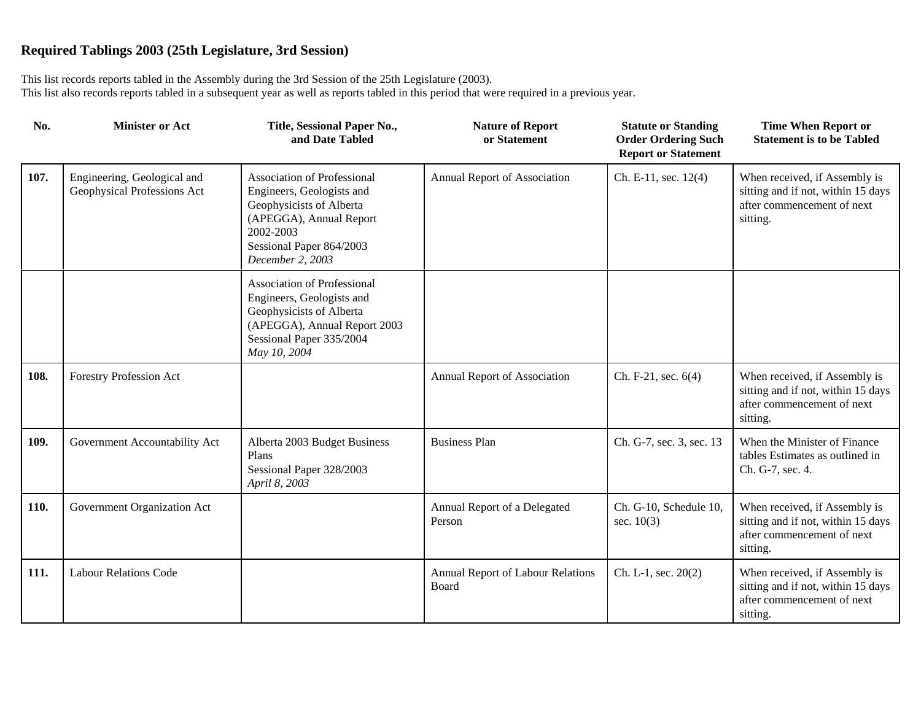| No.  | <b>Minister or Act</b>                                     | Title, Sessional Paper No.,<br>and Date Tabled                                                                                                                                      | <b>Nature of Report</b><br>or Statement    | <b>Statute or Standing</b><br><b>Order Ordering Such</b><br><b>Report or Statement</b> | <b>Time When Report or</b><br><b>Statement is to be Tabled</b>                                                |
|------|------------------------------------------------------------|-------------------------------------------------------------------------------------------------------------------------------------------------------------------------------------|--------------------------------------------|----------------------------------------------------------------------------------------|---------------------------------------------------------------------------------------------------------------|
| 107. | Engineering, Geological and<br>Geophysical Professions Act | <b>Association of Professional</b><br>Engineers, Geologists and<br>Geophysicists of Alberta<br>(APEGGA), Annual Report<br>2002-2003<br>Sessional Paper 864/2003<br>December 2, 2003 | Annual Report of Association               | Ch. E-11, sec. $12(4)$                                                                 | When received, if Assembly is<br>sitting and if not, within 15 days<br>after commencement of next<br>sitting. |
|      |                                                            | <b>Association of Professional</b><br>Engineers, Geologists and<br>Geophysicists of Alberta<br>(APEGGA), Annual Report 2003<br>Sessional Paper 335/2004<br>May 10, 2004             |                                            |                                                                                        |                                                                                                               |
| 108. | Forestry Profession Act                                    |                                                                                                                                                                                     | Annual Report of Association               | Ch. F-21, sec. $6(4)$                                                                  | When received, if Assembly is<br>sitting and if not, within 15 days<br>after commencement of next<br>sitting. |
| 109. | Government Accountability Act                              | Alberta 2003 Budget Business<br>Plans<br>Sessional Paper 328/2003<br>April 8, 2003                                                                                                  | <b>Business Plan</b>                       | Ch. G-7, sec. 3, sec. 13                                                               | When the Minister of Finance<br>tables Estimates as outlined in<br>Ch. G-7, sec. 4.                           |
| 110. | Government Organization Act                                |                                                                                                                                                                                     | Annual Report of a Delegated<br>Person     | Ch. G-10, Schedule 10,<br>sec. $10(3)$                                                 | When received, if Assembly is<br>sitting and if not, within 15 days<br>after commencement of next<br>sitting. |
| 111. | <b>Labour Relations Code</b>                               |                                                                                                                                                                                     | Annual Report of Labour Relations<br>Board | Ch. L-1, sec. $20(2)$                                                                  | When received, if Assembly is<br>sitting and if not, within 15 days<br>after commencement of next<br>sitting. |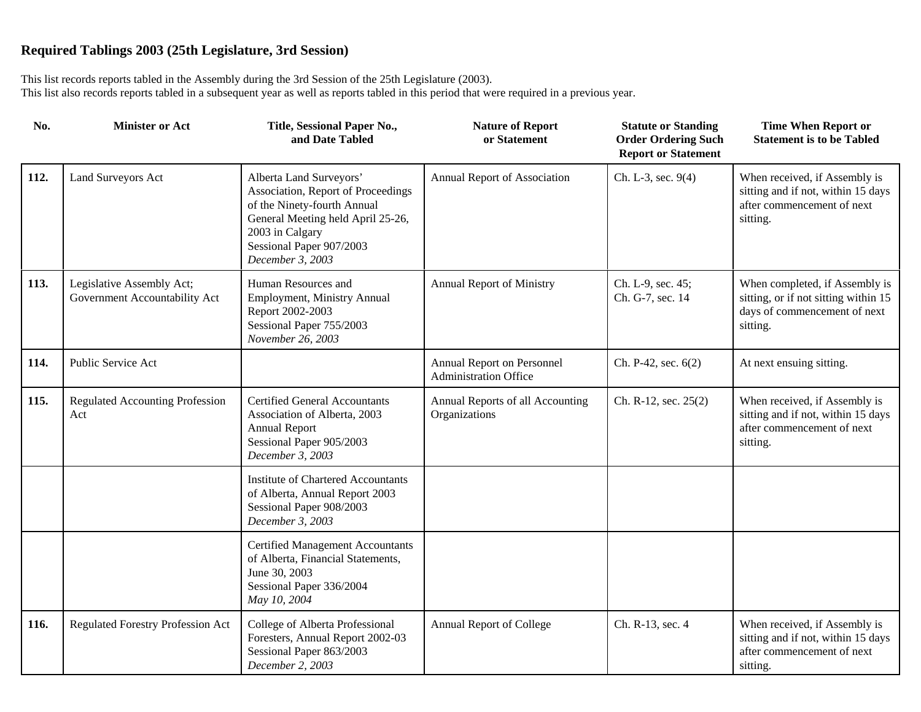| No.  | <b>Minister or Act</b>                                     | Title, Sessional Paper No.,<br>and Date Tabled                                                                                                                                                       | <b>Nature of Report</b><br>or Statement                    | <b>Statute or Standing</b><br><b>Order Ordering Such</b><br><b>Report or Statement</b> | <b>Time When Report or</b><br><b>Statement is to be Tabled</b>                                                     |
|------|------------------------------------------------------------|------------------------------------------------------------------------------------------------------------------------------------------------------------------------------------------------------|------------------------------------------------------------|----------------------------------------------------------------------------------------|--------------------------------------------------------------------------------------------------------------------|
| 112. | Land Surveyors Act                                         | Alberta Land Surveyors'<br>Association, Report of Proceedings<br>of the Ninety-fourth Annual<br>General Meeting held April 25-26,<br>2003 in Calgary<br>Sessional Paper 907/2003<br>December 3, 2003 | Annual Report of Association                               | Ch. L-3, sec. 9(4)                                                                     | When received, if Assembly is<br>sitting and if not, within 15 days<br>after commencement of next<br>sitting.      |
| 113. | Legislative Assembly Act;<br>Government Accountability Act | Human Resources and<br>Employment, Ministry Annual<br>Report 2002-2003<br>Sessional Paper 755/2003<br>November 26, 2003                                                                              | <b>Annual Report of Ministry</b>                           | Ch. L-9, sec. 45;<br>Ch. G-7, sec. 14                                                  | When completed, if Assembly is<br>sitting, or if not sitting within 15<br>days of commencement of next<br>sitting. |
| 114. | Public Service Act                                         |                                                                                                                                                                                                      | Annual Report on Personnel<br><b>Administration Office</b> | Ch. P-42, sec. 6(2)                                                                    | At next ensuing sitting.                                                                                           |
| 115. | <b>Regulated Accounting Profession</b><br>Act              | <b>Certified General Accountants</b><br>Association of Alberta, 2003<br><b>Annual Report</b><br>Sessional Paper 905/2003<br>December 3, 2003                                                         | Annual Reports of all Accounting<br>Organizations          | Ch. R-12, sec. 25(2)                                                                   | When received, if Assembly is<br>sitting and if not, within 15 days<br>after commencement of next<br>sitting.      |
|      |                                                            | <b>Institute of Chartered Accountants</b><br>of Alberta, Annual Report 2003<br>Sessional Paper 908/2003<br>December 3, 2003                                                                          |                                                            |                                                                                        |                                                                                                                    |
|      |                                                            | <b>Certified Management Accountants</b><br>of Alberta, Financial Statements,<br>June 30, 2003<br>Sessional Paper 336/2004<br>May 10, 2004                                                            |                                                            |                                                                                        |                                                                                                                    |
| 116. | <b>Regulated Forestry Profession Act</b>                   | College of Alberta Professional<br>Foresters, Annual Report 2002-03<br>Sessional Paper 863/2003<br>December 2, 2003                                                                                  | Annual Report of College                                   | Ch. R-13, sec. 4                                                                       | When received, if Assembly is<br>sitting and if not, within 15 days<br>after commencement of next<br>sitting.      |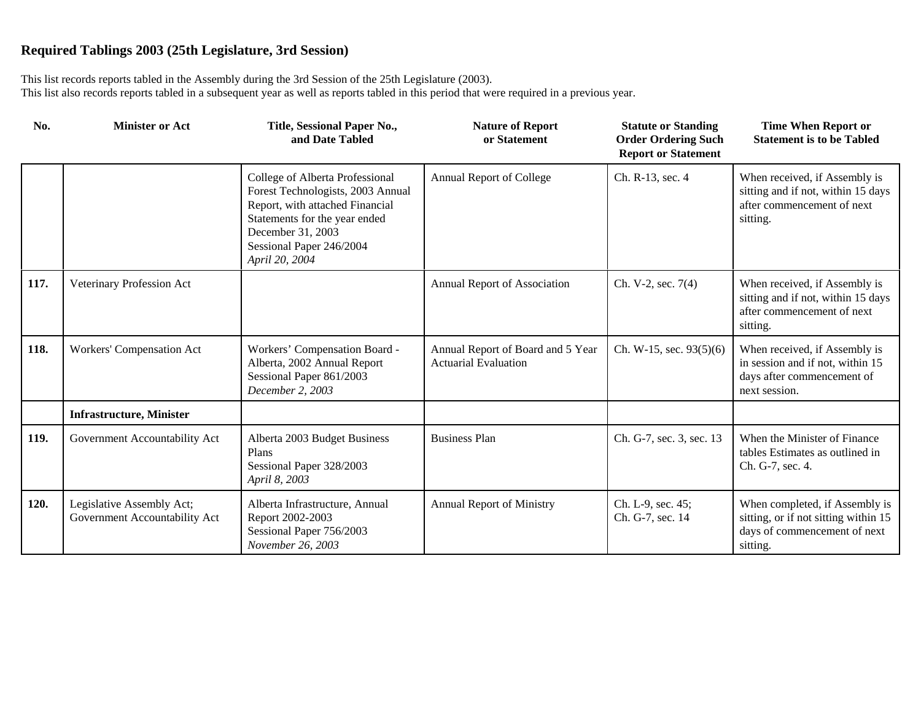| No.  | <b>Minister or Act</b>                                     | Title, Sessional Paper No.,<br>and Date Tabled                                                                                                                                                              | <b>Nature of Report</b><br>or Statement                          | <b>Statute or Standing</b><br><b>Order Ordering Such</b><br><b>Report or Statement</b> | <b>Time When Report or</b><br><b>Statement is to be Tabled</b>                                                     |
|------|------------------------------------------------------------|-------------------------------------------------------------------------------------------------------------------------------------------------------------------------------------------------------------|------------------------------------------------------------------|----------------------------------------------------------------------------------------|--------------------------------------------------------------------------------------------------------------------|
|      |                                                            | College of Alberta Professional<br>Forest Technologists, 2003 Annual<br>Report, with attached Financial<br>Statements for the year ended<br>December 31, 2003<br>Sessional Paper 246/2004<br>April 20, 2004 | Annual Report of College                                         | Ch. R-13, sec. 4                                                                       | When received, if Assembly is<br>sitting and if not, within 15 days<br>after commencement of next<br>sitting.      |
| 117. | Veterinary Profession Act                                  |                                                                                                                                                                                                             | Annual Report of Association                                     | Ch. V-2, sec. 7(4)                                                                     | When received, if Assembly is<br>sitting and if not, within 15 days<br>after commencement of next<br>sitting.      |
| 118. | Workers' Compensation Act                                  | Workers' Compensation Board -<br>Alberta, 2002 Annual Report<br>Sessional Paper 861/2003<br>December 2, 2003                                                                                                | Annual Report of Board and 5 Year<br><b>Actuarial Evaluation</b> | Ch. W-15, sec. 93(5)(6)                                                                | When received, if Assembly is<br>in session and if not, within 15<br>days after commencement of<br>next session.   |
|      | <b>Infrastructure, Minister</b>                            |                                                                                                                                                                                                             |                                                                  |                                                                                        |                                                                                                                    |
| 119. | Government Accountability Act                              | Alberta 2003 Budget Business<br>Plans<br>Sessional Paper 328/2003<br>April 8, 2003                                                                                                                          | <b>Business Plan</b>                                             | Ch. G-7, sec. 3, sec. 13                                                               | When the Minister of Finance<br>tables Estimates as outlined in<br>Ch. G-7, sec. 4.                                |
| 120. | Legislative Assembly Act;<br>Government Accountability Act | Alberta Infrastructure, Annual<br>Report 2002-2003<br>Sessional Paper 756/2003<br>November 26, 2003                                                                                                         | <b>Annual Report of Ministry</b>                                 | Ch. L-9, sec. 45;<br>Ch. G-7, sec. 14                                                  | When completed, if Assembly is<br>sitting, or if not sitting within 15<br>days of commencement of next<br>sitting. |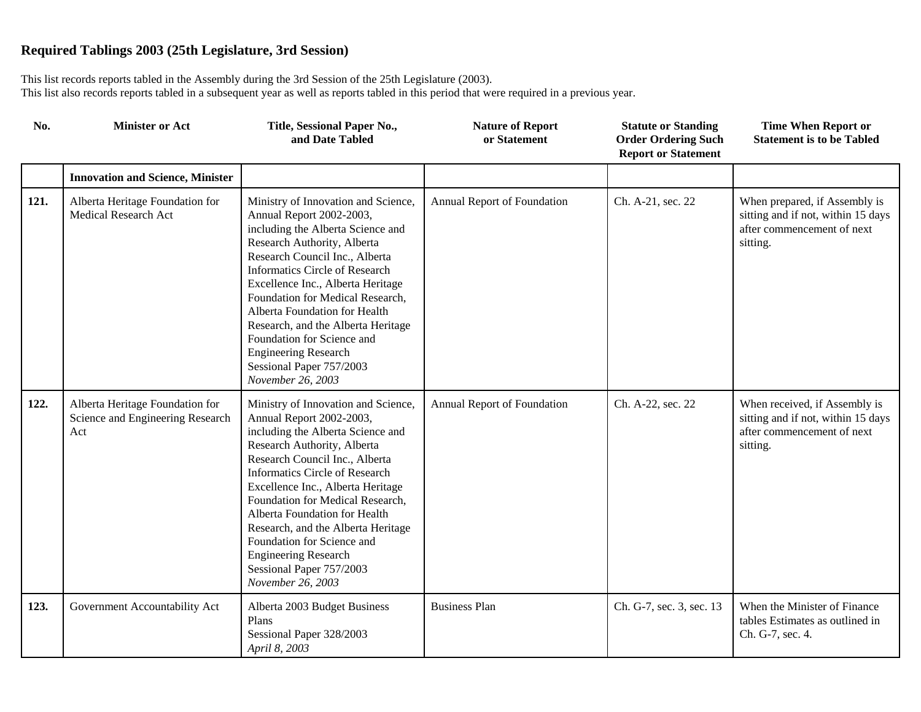| No.  | <b>Minister or Act</b>                                                     | Title, Sessional Paper No.,<br>and Date Tabled                                                                                                                                                                                                                                                                                                                                                                                                                               | <b>Nature of Report</b><br>or Statement | <b>Statute or Standing</b><br><b>Order Ordering Such</b><br><b>Report or Statement</b> | <b>Time When Report or</b><br><b>Statement is to be Tabled</b>                                                |
|------|----------------------------------------------------------------------------|------------------------------------------------------------------------------------------------------------------------------------------------------------------------------------------------------------------------------------------------------------------------------------------------------------------------------------------------------------------------------------------------------------------------------------------------------------------------------|-----------------------------------------|----------------------------------------------------------------------------------------|---------------------------------------------------------------------------------------------------------------|
|      | <b>Innovation and Science, Minister</b>                                    |                                                                                                                                                                                                                                                                                                                                                                                                                                                                              |                                         |                                                                                        |                                                                                                               |
| 121. | Alberta Heritage Foundation for<br>Medical Research Act                    | Ministry of Innovation and Science,<br>Annual Report 2002-2003,<br>including the Alberta Science and<br>Research Authority, Alberta<br>Research Council Inc., Alberta<br><b>Informatics Circle of Research</b><br>Excellence Inc., Alberta Heritage<br>Foundation for Medical Research,<br>Alberta Foundation for Health<br>Research, and the Alberta Heritage<br>Foundation for Science and<br><b>Engineering Research</b><br>Sessional Paper 757/2003<br>November 26, 2003 | Annual Report of Foundation             | Ch. A-21, sec. 22                                                                      | When prepared, if Assembly is<br>sitting and if not, within 15 days<br>after commencement of next<br>sitting. |
| 122. | Alberta Heritage Foundation for<br>Science and Engineering Research<br>Act | Ministry of Innovation and Science,<br>Annual Report 2002-2003,<br>including the Alberta Science and<br>Research Authority, Alberta<br>Research Council Inc., Alberta<br><b>Informatics Circle of Research</b><br>Excellence Inc., Alberta Heritage<br>Foundation for Medical Research,<br>Alberta Foundation for Health<br>Research, and the Alberta Heritage<br>Foundation for Science and<br><b>Engineering Research</b><br>Sessional Paper 757/2003<br>November 26, 2003 | Annual Report of Foundation             | Ch. A-22, sec. 22                                                                      | When received, if Assembly is<br>sitting and if not, within 15 days<br>after commencement of next<br>sitting. |
| 123. | Government Accountability Act                                              | Alberta 2003 Budget Business<br>Plans<br>Sessional Paper 328/2003<br>April 8, 2003                                                                                                                                                                                                                                                                                                                                                                                           | <b>Business Plan</b>                    | Ch. G-7, sec. 3, sec. 13                                                               | When the Minister of Finance<br>tables Estimates as outlined in<br>Ch. G-7, sec. 4.                           |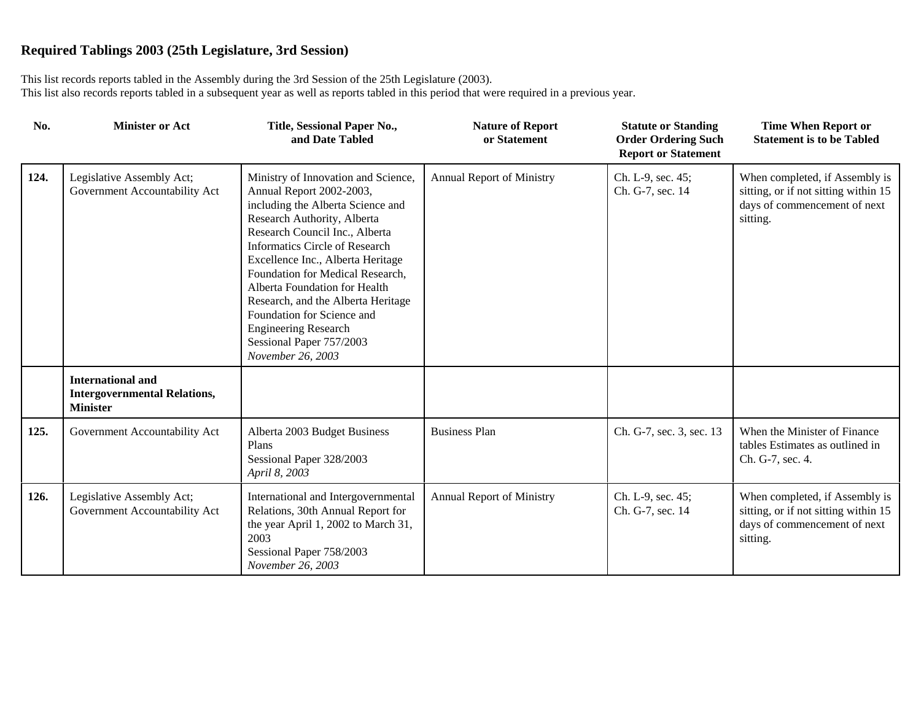| No.  | <b>Minister or Act</b>                                                             | Title, Sessional Paper No.,<br>and Date Tabled                                                                                                                                                                                                                                                                                                                                                                                                                               | <b>Nature of Report</b><br>or Statement | <b>Statute or Standing</b><br><b>Order Ordering Such</b><br><b>Report or Statement</b> | <b>Time When Report or</b><br><b>Statement is to be Tabled</b>                                                     |
|------|------------------------------------------------------------------------------------|------------------------------------------------------------------------------------------------------------------------------------------------------------------------------------------------------------------------------------------------------------------------------------------------------------------------------------------------------------------------------------------------------------------------------------------------------------------------------|-----------------------------------------|----------------------------------------------------------------------------------------|--------------------------------------------------------------------------------------------------------------------|
| 124. | Legislative Assembly Act;<br>Government Accountability Act                         | Ministry of Innovation and Science,<br>Annual Report 2002-2003,<br>including the Alberta Science and<br>Research Authority, Alberta<br>Research Council Inc., Alberta<br><b>Informatics Circle of Research</b><br>Excellence Inc., Alberta Heritage<br>Foundation for Medical Research,<br>Alberta Foundation for Health<br>Research, and the Alberta Heritage<br>Foundation for Science and<br><b>Engineering Research</b><br>Sessional Paper 757/2003<br>November 26, 2003 | Annual Report of Ministry               | Ch. L-9, sec. 45;<br>Ch. G-7, sec. 14                                                  | When completed, if Assembly is<br>sitting, or if not sitting within 15<br>days of commencement of next<br>sitting. |
|      | <b>International and</b><br><b>Intergovernmental Relations,</b><br><b>Minister</b> |                                                                                                                                                                                                                                                                                                                                                                                                                                                                              |                                         |                                                                                        |                                                                                                                    |
| 125. | Government Accountability Act                                                      | Alberta 2003 Budget Business<br>Plans<br>Sessional Paper 328/2003<br>April 8, 2003                                                                                                                                                                                                                                                                                                                                                                                           | <b>Business Plan</b>                    | Ch. G-7, sec. 3, sec. 13                                                               | When the Minister of Finance<br>tables Estimates as outlined in<br>Ch. G-7, sec. 4.                                |
| 126. | Legislative Assembly Act;<br>Government Accountability Act                         | International and Intergovernmental<br>Relations, 30th Annual Report for<br>the year April 1, 2002 to March 31,<br>2003<br>Sessional Paper 758/2003<br>November 26, 2003                                                                                                                                                                                                                                                                                                     | Annual Report of Ministry               | Ch. L-9, sec. 45;<br>Ch. G-7, sec. 14                                                  | When completed, if Assembly is<br>sitting, or if not sitting within 15<br>days of commencement of next<br>sitting. |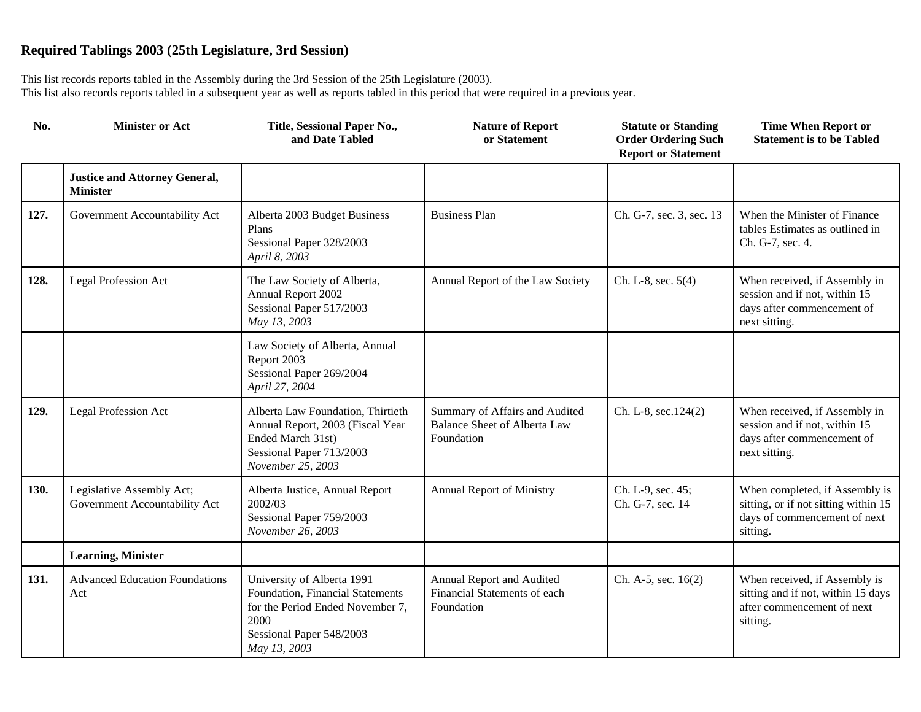| No.  | <b>Minister or Act</b>                                     | Title, Sessional Paper No.,<br>and Date Tabled                                                                                                         | <b>Nature of Report</b><br>or Statement                                             | <b>Statute or Standing</b><br><b>Order Ordering Such</b><br><b>Report or Statement</b> | <b>Time When Report or</b><br><b>Statement is to be Tabled</b>                                                     |
|------|------------------------------------------------------------|--------------------------------------------------------------------------------------------------------------------------------------------------------|-------------------------------------------------------------------------------------|----------------------------------------------------------------------------------------|--------------------------------------------------------------------------------------------------------------------|
|      | <b>Justice and Attorney General,</b><br><b>Minister</b>    |                                                                                                                                                        |                                                                                     |                                                                                        |                                                                                                                    |
| 127. | Government Accountability Act                              | Alberta 2003 Budget Business<br>Plans<br>Sessional Paper 328/2003<br>April 8, 2003                                                                     | <b>Business Plan</b>                                                                | Ch. G-7, sec. 3, sec. 13                                                               | When the Minister of Finance<br>tables Estimates as outlined in<br>Ch. G-7, sec. 4.                                |
| 128. | <b>Legal Profession Act</b>                                | The Law Society of Alberta,<br>Annual Report 2002<br>Sessional Paper 517/2003<br>May 13, 2003                                                          | Annual Report of the Law Society                                                    | Ch. L-8, sec. $5(4)$                                                                   | When received, if Assembly in<br>session and if not, within 15<br>days after commencement of<br>next sitting.      |
|      |                                                            | Law Society of Alberta, Annual<br>Report 2003<br>Sessional Paper 269/2004<br>April 27, 2004                                                            |                                                                                     |                                                                                        |                                                                                                                    |
| 129. | <b>Legal Profession Act</b>                                | Alberta Law Foundation, Thirtieth<br>Annual Report, 2003 (Fiscal Year<br>Ended March 31st)<br>Sessional Paper 713/2003<br>November 25, 2003            | Summary of Affairs and Audited<br><b>Balance Sheet of Alberta Law</b><br>Foundation | Ch. L-8, sec.124(2)                                                                    | When received, if Assembly in<br>session and if not, within 15<br>days after commencement of<br>next sitting.      |
| 130. | Legislative Assembly Act;<br>Government Accountability Act | Alberta Justice, Annual Report<br>2002/03<br>Sessional Paper 759/2003<br>November 26, 2003                                                             | <b>Annual Report of Ministry</b>                                                    | Ch. L-9, sec. 45;<br>Ch. G-7, sec. 14                                                  | When completed, if Assembly is<br>sitting, or if not sitting within 15<br>days of commencement of next<br>sitting. |
|      | <b>Learning, Minister</b>                                  |                                                                                                                                                        |                                                                                     |                                                                                        |                                                                                                                    |
| 131. | <b>Advanced Education Foundations</b><br>Act               | University of Alberta 1991<br>Foundation, Financial Statements<br>for the Period Ended November 7,<br>2000<br>Sessional Paper 548/2003<br>May 13, 2003 | Annual Report and Audited<br>Financial Statements of each<br>Foundation             | Ch. A-5, sec. 16(2)                                                                    | When received, if Assembly is<br>sitting and if not, within 15 days<br>after commencement of next<br>sitting.      |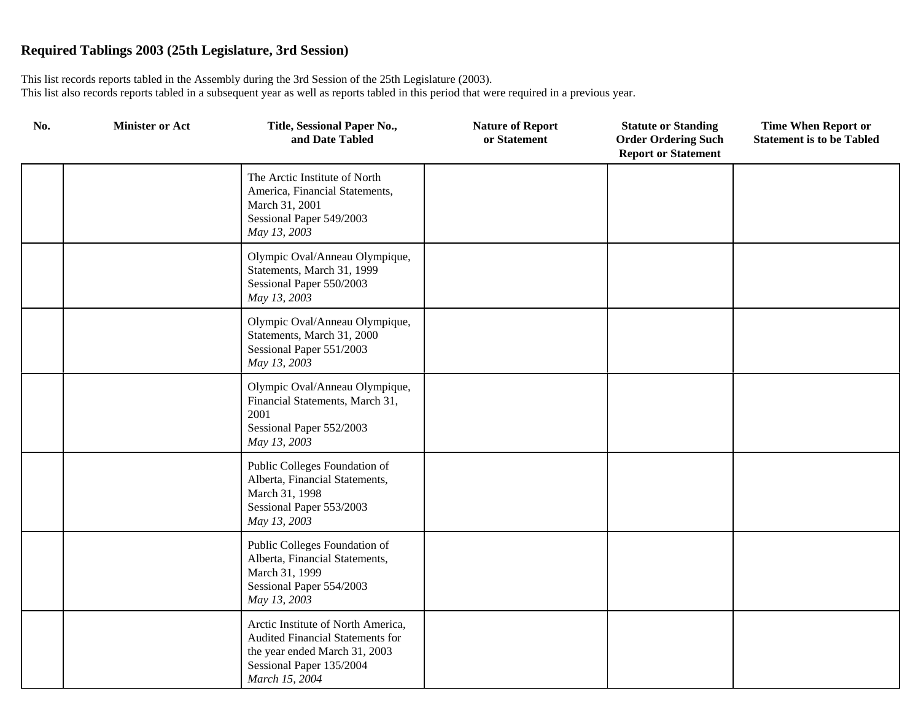| No. | <b>Minister or Act</b> | Title, Sessional Paper No.,<br>and Date Tabled                                                                                                        | <b>Nature of Report</b><br>or Statement | <b>Statute or Standing</b><br><b>Order Ordering Such</b><br><b>Report or Statement</b> | <b>Time When Report or</b><br><b>Statement is to be Tabled</b> |
|-----|------------------------|-------------------------------------------------------------------------------------------------------------------------------------------------------|-----------------------------------------|----------------------------------------------------------------------------------------|----------------------------------------------------------------|
|     |                        | The Arctic Institute of North<br>America, Financial Statements,<br>March 31, 2001<br>Sessional Paper 549/2003<br>May 13, 2003                         |                                         |                                                                                        |                                                                |
|     |                        | Olympic Oval/Anneau Olympique,<br>Statements, March 31, 1999<br>Sessional Paper 550/2003<br>May 13, 2003                                              |                                         |                                                                                        |                                                                |
|     |                        | Olympic Oval/Anneau Olympique,<br>Statements, March 31, 2000<br>Sessional Paper 551/2003<br>May 13, 2003                                              |                                         |                                                                                        |                                                                |
|     |                        | Olympic Oval/Anneau Olympique,<br>Financial Statements, March 31,<br>2001<br>Sessional Paper 552/2003<br>May 13, 2003                                 |                                         |                                                                                        |                                                                |
|     |                        | Public Colleges Foundation of<br>Alberta, Financial Statements,<br>March 31, 1998<br>Sessional Paper 553/2003<br>May 13, 2003                         |                                         |                                                                                        |                                                                |
|     |                        | Public Colleges Foundation of<br>Alberta, Financial Statements,<br>March 31, 1999<br>Sessional Paper 554/2003<br>May 13, 2003                         |                                         |                                                                                        |                                                                |
|     |                        | Arctic Institute of North America,<br>Audited Financial Statements for<br>the year ended March 31, 2003<br>Sessional Paper 135/2004<br>March 15, 2004 |                                         |                                                                                        |                                                                |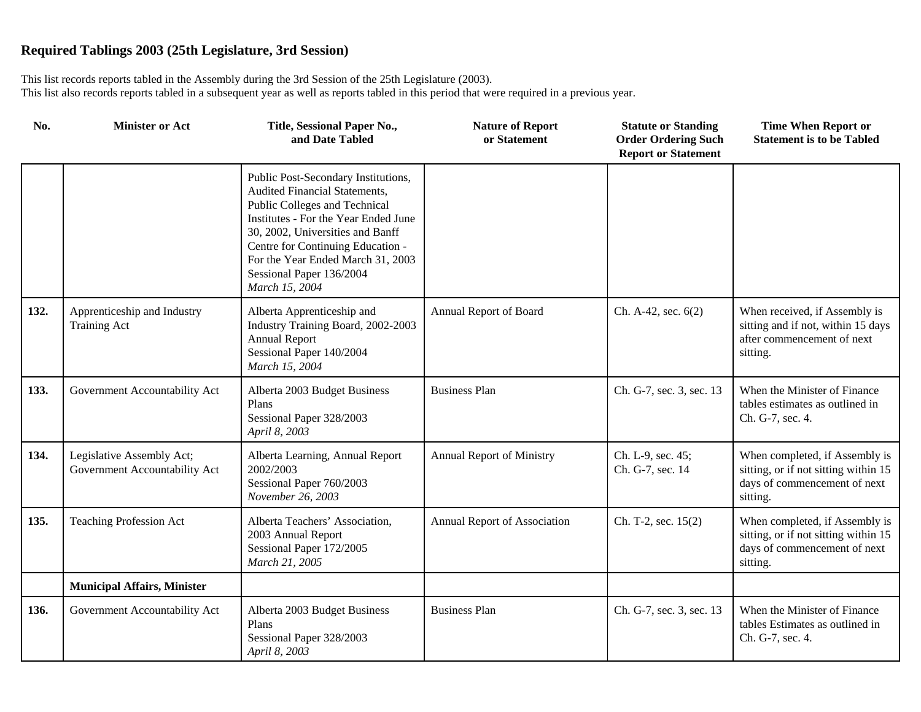| No.  | <b>Minister or Act</b>                                     | Title, Sessional Paper No.,<br>and Date Tabled                                                                                                                                                                                                                                                            | <b>Nature of Report</b><br>or Statement | <b>Statute or Standing</b><br><b>Order Ordering Such</b><br><b>Report or Statement</b> | <b>Time When Report or</b><br><b>Statement is to be Tabled</b>                                                     |
|------|------------------------------------------------------------|-----------------------------------------------------------------------------------------------------------------------------------------------------------------------------------------------------------------------------------------------------------------------------------------------------------|-----------------------------------------|----------------------------------------------------------------------------------------|--------------------------------------------------------------------------------------------------------------------|
|      |                                                            | Public Post-Secondary Institutions,<br>Audited Financial Statements,<br>Public Colleges and Technical<br>Institutes - For the Year Ended June<br>30, 2002, Universities and Banff<br>Centre for Continuing Education -<br>For the Year Ended March 31, 2003<br>Sessional Paper 136/2004<br>March 15, 2004 |                                         |                                                                                        |                                                                                                                    |
| 132. | Apprenticeship and Industry<br><b>Training Act</b>         | Alberta Apprenticeship and<br>Industry Training Board, 2002-2003<br><b>Annual Report</b><br>Sessional Paper 140/2004<br>March 15, 2004                                                                                                                                                                    | Annual Report of Board                  | Ch. A-42, sec. 6(2)                                                                    | When received, if Assembly is<br>sitting and if not, within 15 days<br>after commencement of next<br>sitting.      |
| 133. | Government Accountability Act                              | Alberta 2003 Budget Business<br>Plans<br>Sessional Paper 328/2003<br>April 8, 2003                                                                                                                                                                                                                        | <b>Business Plan</b>                    | Ch. G-7, sec. 3, sec. 13                                                               | When the Minister of Finance<br>tables estimates as outlined in<br>Ch. G-7, sec. 4.                                |
| 134. | Legislative Assembly Act;<br>Government Accountability Act | Alberta Learning, Annual Report<br>2002/2003<br>Sessional Paper 760/2003<br>November 26, 2003                                                                                                                                                                                                             | Annual Report of Ministry               | Ch. L-9, sec. 45;<br>Ch. G-7, sec. 14                                                  | When completed, if Assembly is<br>sitting, or if not sitting within 15<br>days of commencement of next<br>sitting. |
| 135. | <b>Teaching Profession Act</b>                             | Alberta Teachers' Association,<br>2003 Annual Report<br>Sessional Paper 172/2005<br>March 21, 2005                                                                                                                                                                                                        | Annual Report of Association            | Ch. T-2, sec. 15(2)                                                                    | When completed, if Assembly is<br>sitting, or if not sitting within 15<br>days of commencement of next<br>sitting. |
|      | <b>Municipal Affairs, Minister</b>                         |                                                                                                                                                                                                                                                                                                           |                                         |                                                                                        |                                                                                                                    |
| 136. | Government Accountability Act                              | Alberta 2003 Budget Business<br>Plans<br>Sessional Paper 328/2003<br>April 8, 2003                                                                                                                                                                                                                        | <b>Business Plan</b>                    | Ch. G-7, sec. 3, sec. 13                                                               | When the Minister of Finance<br>tables Estimates as outlined in<br>Ch. G-7, sec. 4.                                |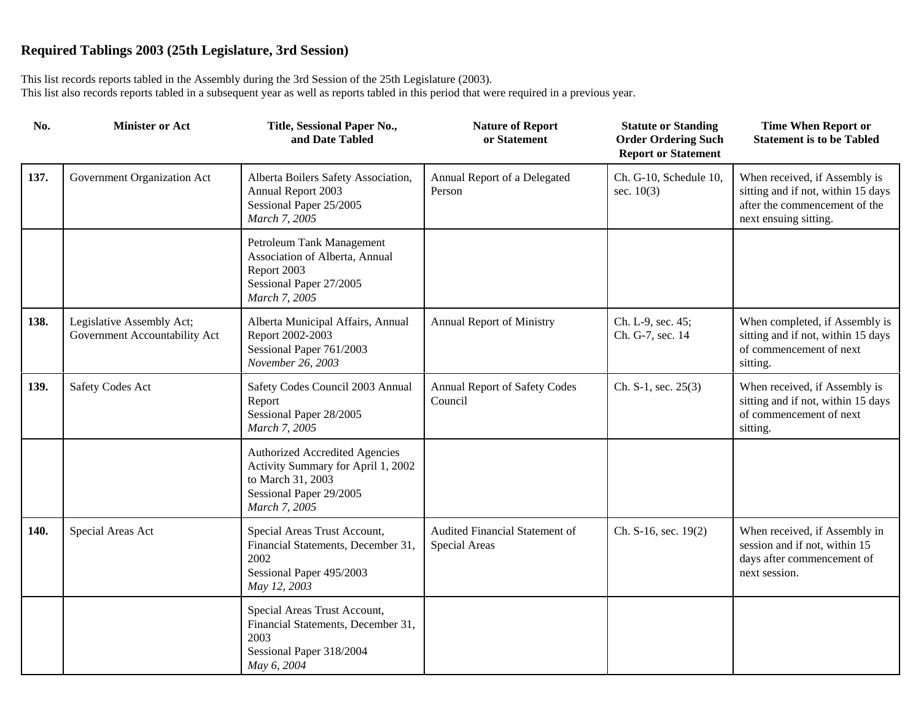| No.  | <b>Minister or Act</b>                                     | Title, Sessional Paper No.,<br>and Date Tabled                                                                                               | <b>Nature of Report</b><br>or Statement         | <b>Statute or Standing</b><br><b>Order Ordering Such</b><br><b>Report or Statement</b> | <b>Time When Report or</b><br><b>Statement is to be Tabled</b>                                                                |
|------|------------------------------------------------------------|----------------------------------------------------------------------------------------------------------------------------------------------|-------------------------------------------------|----------------------------------------------------------------------------------------|-------------------------------------------------------------------------------------------------------------------------------|
| 137. | Government Organization Act                                | Alberta Boilers Safety Association,<br>Annual Report 2003<br>Sessional Paper 25/2005<br>March 7, 2005                                        | Annual Report of a Delegated<br>Person          | Ch. G-10, Schedule 10,<br>sec. $10(3)$                                                 | When received, if Assembly is<br>sitting and if not, within 15 days<br>after the commencement of the<br>next ensuing sitting. |
|      |                                                            | Petroleum Tank Management<br>Association of Alberta, Annual<br>Report 2003<br>Sessional Paper 27/2005<br>March 7, 2005                       |                                                 |                                                                                        |                                                                                                                               |
| 138. | Legislative Assembly Act;<br>Government Accountability Act | Alberta Municipal Affairs, Annual<br>Report 2002-2003<br>Sessional Paper 761/2003<br>November 26, 2003                                       | <b>Annual Report of Ministry</b>                | Ch. L-9, sec. 45;<br>Ch. G-7, sec. 14                                                  | When completed, if Assembly is<br>sitting and if not, within 15 days<br>of commencement of next<br>sitting.                   |
| 139. | <b>Safety Codes Act</b>                                    | Safety Codes Council 2003 Annual<br>Report<br>Sessional Paper 28/2005<br>March 7, 2005                                                       | Annual Report of Safety Codes<br>Council        | Ch. S-1, sec. $25(3)$                                                                  | When received, if Assembly is<br>sitting and if not, within 15 days<br>of commencement of next<br>sitting.                    |
|      |                                                            | <b>Authorized Accredited Agencies</b><br>Activity Summary for April 1, 2002<br>to March 31, 2003<br>Sessional Paper 29/2005<br>March 7, 2005 |                                                 |                                                                                        |                                                                                                                               |
| 140. | Special Areas Act                                          | Special Areas Trust Account,<br>Financial Statements, December 31,<br>2002<br>Sessional Paper 495/2003<br>May 12, 2003                       | Audited Financial Statement of<br>Special Areas | Ch. S-16, sec. 19(2)                                                                   | When received, if Assembly in<br>session and if not, within 15<br>days after commencement of<br>next session.                 |
|      |                                                            | Special Areas Trust Account,<br>Financial Statements, December 31,<br>2003<br>Sessional Paper 318/2004<br>May 6, 2004                        |                                                 |                                                                                        |                                                                                                                               |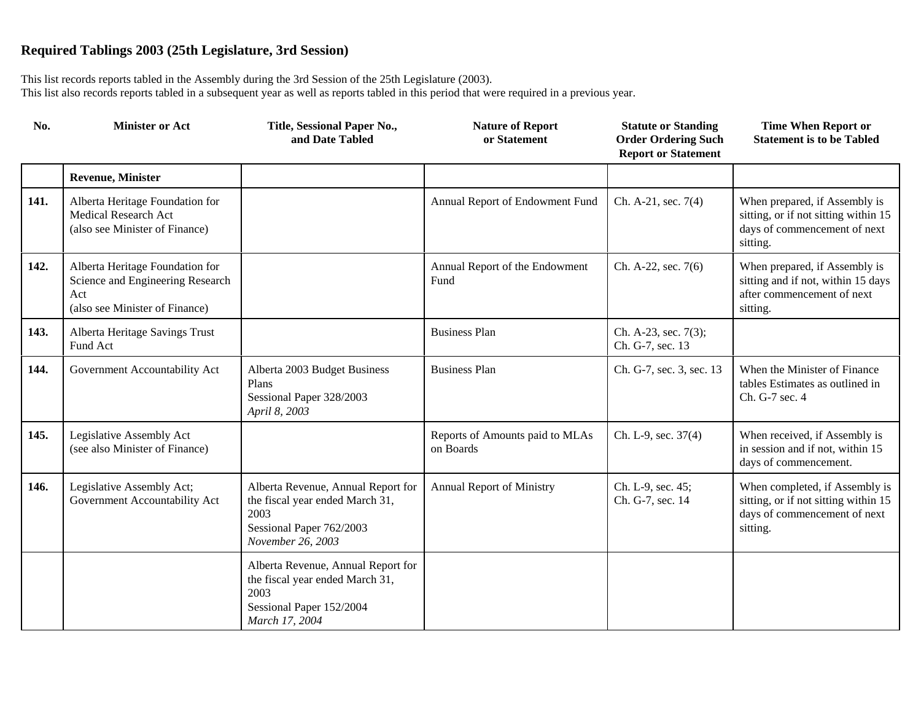| No.  | <b>Minister or Act</b>                                                                                       | Title, Sessional Paper No.,<br>and Date Tabled                                                                                 | <b>Nature of Report</b><br>or Statement      | <b>Statute or Standing</b><br><b>Order Ordering Such</b><br><b>Report or Statement</b> | <b>Time When Report or</b><br><b>Statement is to be Tabled</b>                                                     |
|------|--------------------------------------------------------------------------------------------------------------|--------------------------------------------------------------------------------------------------------------------------------|----------------------------------------------|----------------------------------------------------------------------------------------|--------------------------------------------------------------------------------------------------------------------|
|      | <b>Revenue, Minister</b>                                                                                     |                                                                                                                                |                                              |                                                                                        |                                                                                                                    |
| 141. | Alberta Heritage Foundation for<br>Medical Research Act<br>(also see Minister of Finance)                    |                                                                                                                                | Annual Report of Endowment Fund              | Ch. A-21, sec. 7(4)                                                                    | When prepared, if Assembly is<br>sitting, or if not sitting within 15<br>days of commencement of next<br>sitting.  |
| 142. | Alberta Heritage Foundation for<br>Science and Engineering Research<br>Act<br>(also see Minister of Finance) |                                                                                                                                | Annual Report of the Endowment<br>Fund       | Ch. A-22, sec. 7(6)                                                                    | When prepared, if Assembly is<br>sitting and if not, within 15 days<br>after commencement of next<br>sitting.      |
| 143. | Alberta Heritage Savings Trust<br>Fund Act                                                                   |                                                                                                                                | <b>Business Plan</b>                         | Ch. A-23, sec. 7(3);<br>Ch. G-7, sec. 13                                               |                                                                                                                    |
| 144. | Government Accountability Act                                                                                | Alberta 2003 Budget Business<br>Plans<br>Sessional Paper 328/2003<br>April 8, 2003                                             | <b>Business Plan</b>                         | Ch. G-7, sec. 3, sec. 13                                                               | When the Minister of Finance<br>tables Estimates as outlined in<br>Ch. G-7 sec. 4                                  |
| 145. | Legislative Assembly Act<br>(see also Minister of Finance)                                                   |                                                                                                                                | Reports of Amounts paid to MLAs<br>on Boards | Ch. L-9, sec. 37(4)                                                                    | When received, if Assembly is<br>in session and if not, within 15<br>days of commencement.                         |
| 146. | Legislative Assembly Act;<br>Government Accountability Act                                                   | Alberta Revenue, Annual Report for<br>the fiscal year ended March 31,<br>2003<br>Sessional Paper 762/2003<br>November 26, 2003 | <b>Annual Report of Ministry</b>             | Ch. L-9, sec. 45;<br>Ch. G-7, sec. 14                                                  | When completed, if Assembly is<br>sitting, or if not sitting within 15<br>days of commencement of next<br>sitting. |
|      |                                                                                                              | Alberta Revenue, Annual Report for<br>the fiscal year ended March 31,<br>2003<br>Sessional Paper 152/2004<br>March 17, 2004    |                                              |                                                                                        |                                                                                                                    |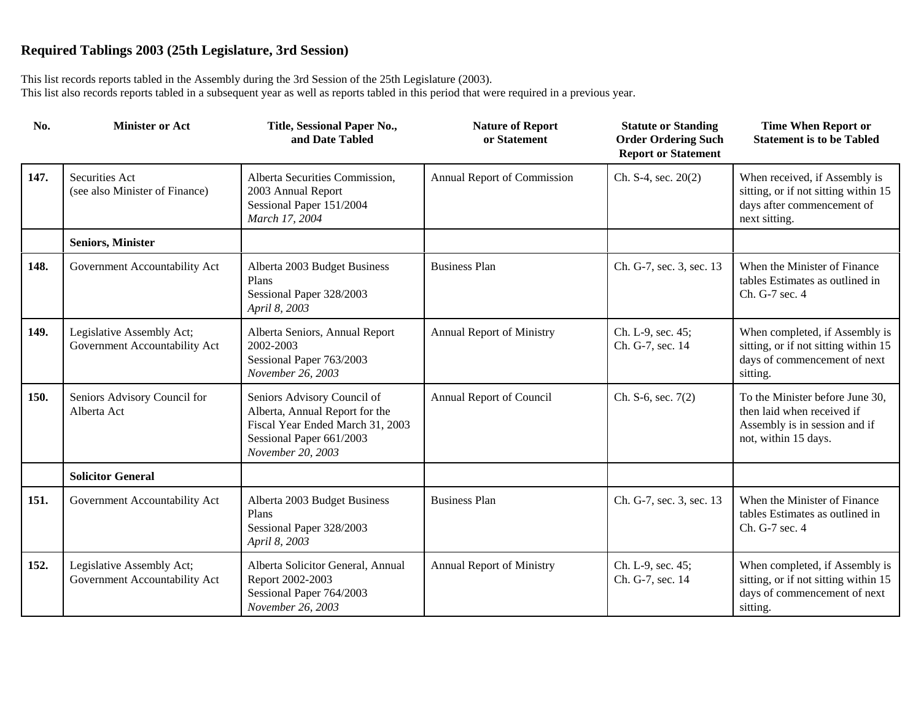| No.  | <b>Minister or Act</b>                                     | Title, Sessional Paper No.,<br>and Date Tabled                                                                                                     | <b>Nature of Report</b><br>or Statement | <b>Statute or Standing</b><br><b>Order Ordering Such</b><br><b>Report or Statement</b> | <b>Time When Report or</b><br><b>Statement is to be Tabled</b>                                                         |
|------|------------------------------------------------------------|----------------------------------------------------------------------------------------------------------------------------------------------------|-----------------------------------------|----------------------------------------------------------------------------------------|------------------------------------------------------------------------------------------------------------------------|
| 147. | Securities Act<br>(see also Minister of Finance)           | Alberta Securities Commission,<br>2003 Annual Report<br>Sessional Paper 151/2004<br>March 17, 2004                                                 | Annual Report of Commission             | Ch. S-4, sec. 20(2)                                                                    | When received, if Assembly is<br>sitting, or if not sitting within 15<br>days after commencement of<br>next sitting.   |
|      | <b>Seniors, Minister</b>                                   |                                                                                                                                                    |                                         |                                                                                        |                                                                                                                        |
| 148. | Government Accountability Act                              | Alberta 2003 Budget Business<br>Plans<br>Sessional Paper 328/2003<br>April 8, 2003                                                                 | <b>Business Plan</b>                    | Ch. G-7, sec. 3, sec. 13                                                               | When the Minister of Finance<br>tables Estimates as outlined in<br>Ch. G-7 sec. 4                                      |
| 149. | Legislative Assembly Act;<br>Government Accountability Act | Alberta Seniors, Annual Report<br>2002-2003<br>Sessional Paper 763/2003<br>November 26, 2003                                                       | Annual Report of Ministry               | Ch. L-9, sec. 45;<br>Ch. G-7, sec. 14                                                  | When completed, if Assembly is<br>sitting, or if not sitting within 15<br>days of commencement of next<br>sitting.     |
| 150. | Seniors Advisory Council for<br>Alberta Act                | Seniors Advisory Council of<br>Alberta, Annual Report for the<br>Fiscal Year Ended March 31, 2003<br>Sessional Paper 661/2003<br>November 20, 2003 | Annual Report of Council                | Ch. S-6, sec. $7(2)$                                                                   | To the Minister before June 30,<br>then laid when received if<br>Assembly is in session and if<br>not, within 15 days. |
|      | <b>Solicitor General</b>                                   |                                                                                                                                                    |                                         |                                                                                        |                                                                                                                        |
| 151. | Government Accountability Act                              | Alberta 2003 Budget Business<br>Plans<br>Sessional Paper 328/2003<br>April 8, 2003                                                                 | <b>Business Plan</b>                    | Ch. G-7, sec. 3, sec. 13                                                               | When the Minister of Finance<br>tables Estimates as outlined in<br>Ch. G-7 sec. 4                                      |
| 152. | Legislative Assembly Act;<br>Government Accountability Act | Alberta Solicitor General, Annual<br>Report 2002-2003<br>Sessional Paper 764/2003<br>November 26, 2003                                             | <b>Annual Report of Ministry</b>        | Ch. L-9, sec. 45;<br>Ch. G-7, sec. 14                                                  | When completed, if Assembly is<br>sitting, or if not sitting within 15<br>days of commencement of next<br>sitting.     |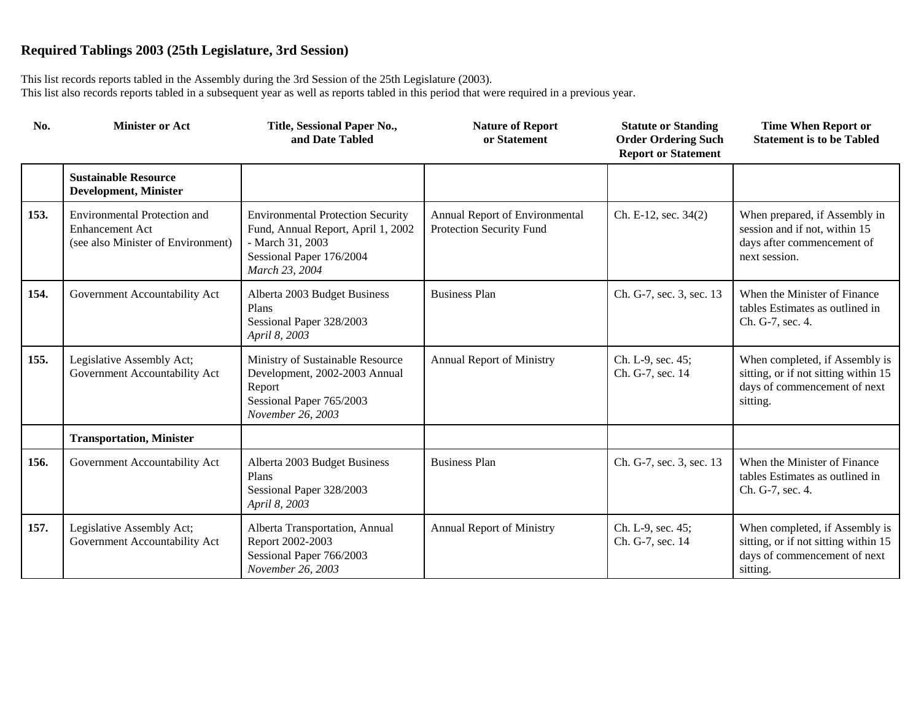| No.  | <b>Minister or Act</b>                                                                              | Title, Sessional Paper No.,<br>and Date Tabled                                                                                                   | <b>Nature of Report</b><br>or Statement                    | <b>Statute or Standing</b><br><b>Order Ordering Such</b><br><b>Report or Statement</b> | <b>Time When Report or</b><br><b>Statement is to be Tabled</b>                                                     |
|------|-----------------------------------------------------------------------------------------------------|--------------------------------------------------------------------------------------------------------------------------------------------------|------------------------------------------------------------|----------------------------------------------------------------------------------------|--------------------------------------------------------------------------------------------------------------------|
|      | <b>Sustainable Resource</b><br><b>Development, Minister</b>                                         |                                                                                                                                                  |                                                            |                                                                                        |                                                                                                                    |
| 153. | <b>Environmental Protection and</b><br><b>Enhancement Act</b><br>(see also Minister of Environment) | <b>Environmental Protection Security</b><br>Fund, Annual Report, April 1, 2002<br>- March 31, 2003<br>Sessional Paper 176/2004<br>March 23, 2004 | Annual Report of Environmental<br>Protection Security Fund | Ch. E-12, sec. 34(2)                                                                   | When prepared, if Assembly in<br>session and if not, within 15<br>days after commencement of<br>next session.      |
| 154. | Government Accountability Act                                                                       | Alberta 2003 Budget Business<br>Plans<br>Sessional Paper 328/2003<br>April 8, 2003                                                               | <b>Business Plan</b>                                       | Ch. G-7, sec. 3, sec. 13                                                               | When the Minister of Finance<br>tables Estimates as outlined in<br>Ch. G-7, sec. 4.                                |
| 155. | Legislative Assembly Act;<br>Government Accountability Act                                          | Ministry of Sustainable Resource<br>Development, 2002-2003 Annual<br>Report<br>Sessional Paper 765/2003<br>November 26, 2003                     | <b>Annual Report of Ministry</b>                           | Ch. L-9, sec. 45;<br>Ch. G-7, sec. 14                                                  | When completed, if Assembly is<br>sitting, or if not sitting within 15<br>days of commencement of next<br>sitting. |
|      | <b>Transportation, Minister</b>                                                                     |                                                                                                                                                  |                                                            |                                                                                        |                                                                                                                    |
| 156. | Government Accountability Act                                                                       | Alberta 2003 Budget Business<br>Plans<br>Sessional Paper 328/2003<br>April 8, 2003                                                               | <b>Business Plan</b>                                       | Ch. G-7, sec. 3, sec. 13                                                               | When the Minister of Finance<br>tables Estimates as outlined in<br>Ch. G-7, sec. 4.                                |
| 157. | Legislative Assembly Act;<br>Government Accountability Act                                          | Alberta Transportation, Annual<br>Report 2002-2003<br>Sessional Paper 766/2003<br>November 26, 2003                                              | <b>Annual Report of Ministry</b>                           | Ch. L-9, sec. 45;<br>Ch. G-7, sec. 14                                                  | When completed, if Assembly is<br>sitting, or if not sitting within 15<br>days of commencement of next<br>sitting. |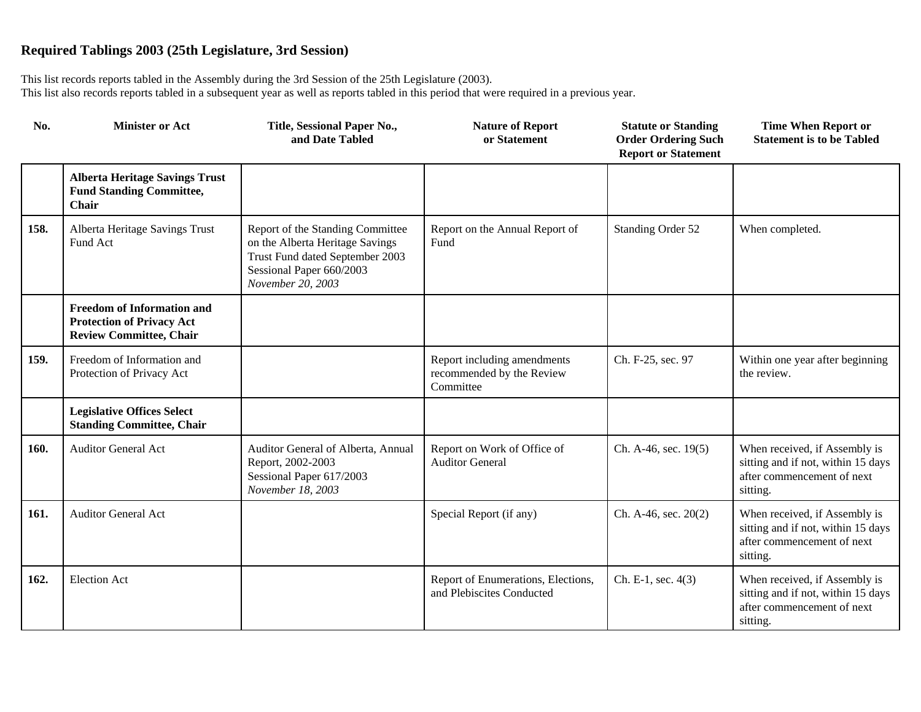| No.  | <b>Minister or Act</b>                                                                                  | Title, Sessional Paper No.,<br>and Date Tabled                                                                                                          | <b>Nature of Report</b><br>or Statement                               | <b>Statute or Standing</b><br><b>Order Ordering Such</b><br><b>Report or Statement</b> | <b>Time When Report or</b><br><b>Statement is to be Tabled</b>                                                |
|------|---------------------------------------------------------------------------------------------------------|---------------------------------------------------------------------------------------------------------------------------------------------------------|-----------------------------------------------------------------------|----------------------------------------------------------------------------------------|---------------------------------------------------------------------------------------------------------------|
|      | <b>Alberta Heritage Savings Trust</b><br><b>Fund Standing Committee,</b><br><b>Chair</b>                |                                                                                                                                                         |                                                                       |                                                                                        |                                                                                                               |
| 158. | Alberta Heritage Savings Trust<br>Fund Act                                                              | Report of the Standing Committee<br>on the Alberta Heritage Savings<br>Trust Fund dated September 2003<br>Sessional Paper 660/2003<br>November 20, 2003 | Report on the Annual Report of<br>Fund                                | Standing Order 52                                                                      | When completed.                                                                                               |
|      | <b>Freedom of Information and</b><br><b>Protection of Privacy Act</b><br><b>Review Committee, Chair</b> |                                                                                                                                                         |                                                                       |                                                                                        |                                                                                                               |
| 159. | Freedom of Information and<br>Protection of Privacy Act                                                 |                                                                                                                                                         | Report including amendments<br>recommended by the Review<br>Committee | Ch. F-25, sec. 97                                                                      | Within one year after beginning<br>the review.                                                                |
|      | <b>Legislative Offices Select</b><br><b>Standing Committee, Chair</b>                                   |                                                                                                                                                         |                                                                       |                                                                                        |                                                                                                               |
| 160. | <b>Auditor General Act</b>                                                                              | Auditor General of Alberta, Annual<br>Report, 2002-2003<br>Sessional Paper 617/2003<br>November 18, 2003                                                | Report on Work of Office of<br><b>Auditor General</b>                 | Ch. A-46, sec. $19(5)$                                                                 | When received, if Assembly is<br>sitting and if not, within 15 days<br>after commencement of next<br>sitting. |
| 161. | <b>Auditor General Act</b>                                                                              |                                                                                                                                                         | Special Report (if any)                                               | Ch. A-46, sec. $20(2)$                                                                 | When received, if Assembly is<br>sitting and if not, within 15 days<br>after commencement of next<br>sitting. |
| 162. | <b>Election Act</b>                                                                                     |                                                                                                                                                         | Report of Enumerations, Elections,<br>and Plebiscites Conducted       | Ch. E-1, sec. $4(3)$                                                                   | When received, if Assembly is<br>sitting and if not, within 15 days<br>after commencement of next<br>sitting. |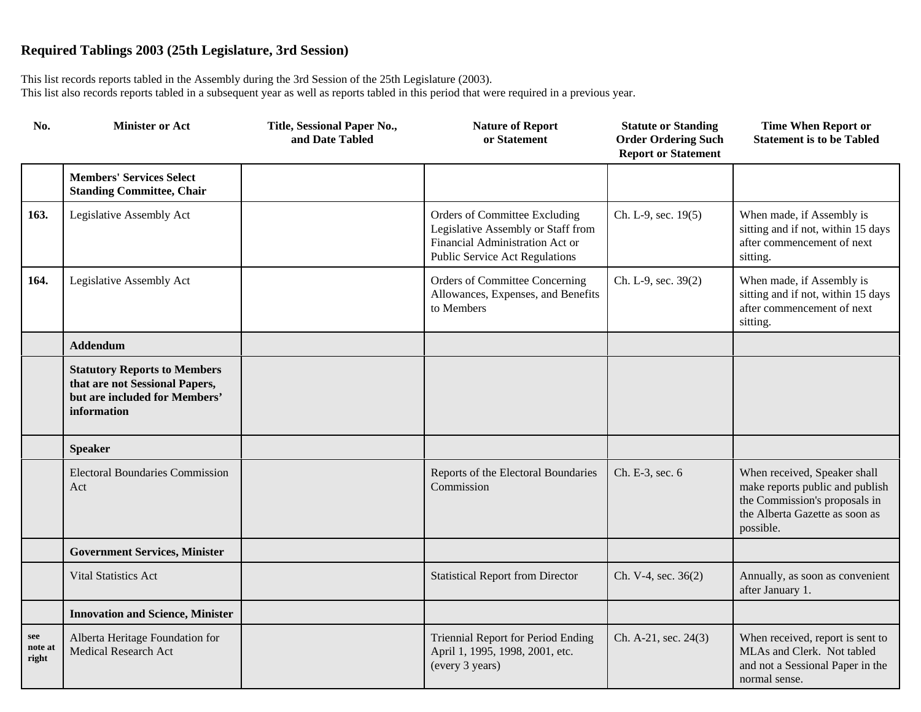| No.                     | <b>Minister or Act</b>                                                                                                | Title, Sessional Paper No.,<br>and Date Tabled | <b>Nature of Report</b><br>or Statement                                                                                                  | <b>Statute or Standing</b><br><b>Order Ordering Such</b><br><b>Report or Statement</b> | <b>Time When Report or</b><br><b>Statement is to be Tabled</b>                                                                                  |
|-------------------------|-----------------------------------------------------------------------------------------------------------------------|------------------------------------------------|------------------------------------------------------------------------------------------------------------------------------------------|----------------------------------------------------------------------------------------|-------------------------------------------------------------------------------------------------------------------------------------------------|
|                         | <b>Members' Services Select</b><br><b>Standing Committee, Chair</b>                                                   |                                                |                                                                                                                                          |                                                                                        |                                                                                                                                                 |
| 163.                    | Legislative Assembly Act                                                                                              |                                                | Orders of Committee Excluding<br>Legislative Assembly or Staff from<br>Financial Administration Act or<br>Public Service Act Regulations | Ch. L-9, sec. 19(5)                                                                    | When made, if Assembly is<br>sitting and if not, within 15 days<br>after commencement of next<br>sitting.                                       |
| 164.                    | Legislative Assembly Act                                                                                              |                                                | Orders of Committee Concerning<br>Allowances, Expenses, and Benefits<br>to Members                                                       | Ch. L-9, sec. 39(2)                                                                    | When made, if Assembly is<br>sitting and if not, within 15 days<br>after commencement of next<br>sitting.                                       |
|                         | <b>Addendum</b>                                                                                                       |                                                |                                                                                                                                          |                                                                                        |                                                                                                                                                 |
|                         | <b>Statutory Reports to Members</b><br>that are not Sessional Papers,<br>but are included for Members'<br>information |                                                |                                                                                                                                          |                                                                                        |                                                                                                                                                 |
|                         | <b>Speaker</b>                                                                                                        |                                                |                                                                                                                                          |                                                                                        |                                                                                                                                                 |
|                         | <b>Electoral Boundaries Commission</b><br>Act                                                                         |                                                | Reports of the Electoral Boundaries<br>Commission                                                                                        | Ch. E-3, sec. 6                                                                        | When received, Speaker shall<br>make reports public and publish<br>the Commission's proposals in<br>the Alberta Gazette as soon as<br>possible. |
|                         | <b>Government Services, Minister</b>                                                                                  |                                                |                                                                                                                                          |                                                                                        |                                                                                                                                                 |
|                         | <b>Vital Statistics Act</b>                                                                                           |                                                | <b>Statistical Report from Director</b>                                                                                                  | Ch. V-4, sec. 36(2)                                                                    | Annually, as soon as convenient<br>after January 1.                                                                                             |
|                         | <b>Innovation and Science, Minister</b>                                                                               |                                                |                                                                                                                                          |                                                                                        |                                                                                                                                                 |
| see<br>note at<br>right | Alberta Heritage Foundation for<br><b>Medical Research Act</b>                                                        |                                                | Triennial Report for Period Ending<br>April 1, 1995, 1998, 2001, etc.<br>(every 3 years)                                                 | Ch. A-21, sec. 24(3)                                                                   | When received, report is sent to<br>MLAs and Clerk. Not tabled<br>and not a Sessional Paper in the<br>normal sense.                             |